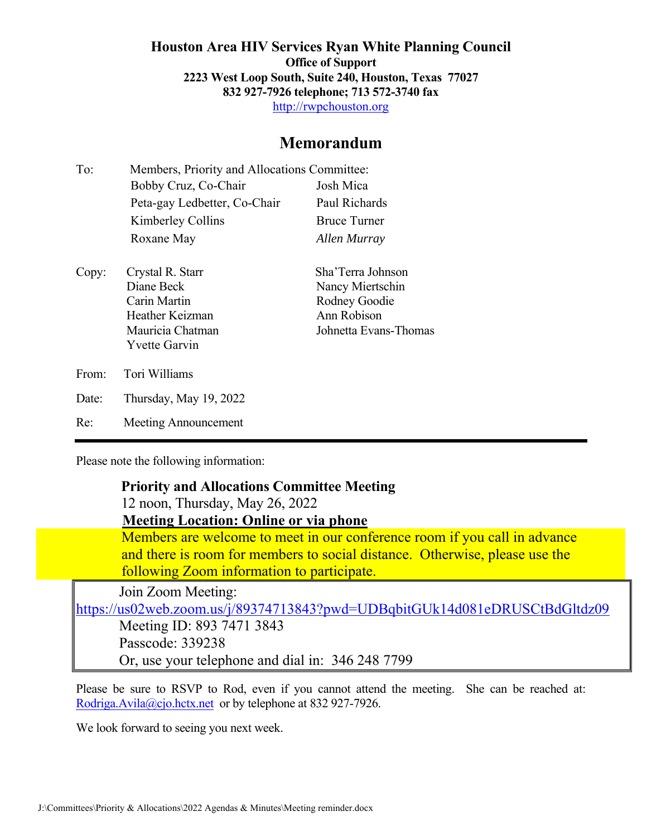**Houston Area HIV Services Ryan White Planning Council Office of Support 2223 West Loop South, Suite 240, Houston, Texas 77027 832 927-7926 telephone; 713 572-3740 fax**  http://rwpchouston.org

## **Memorandum**

| To:   | Members, Priority and Allocations Committee:                                                                  |                                                                                                |
|-------|---------------------------------------------------------------------------------------------------------------|------------------------------------------------------------------------------------------------|
|       | Bobby Cruz, Co-Chair                                                                                          | Josh Mica                                                                                      |
|       | Peta-gay Ledbetter, Co-Chair                                                                                  | Paul Richards                                                                                  |
|       | Kimberley Collins                                                                                             | <b>Bruce Turner</b>                                                                            |
|       | Roxane May                                                                                                    | Allen Murray                                                                                   |
| Copy: | Crystal R. Starr<br>Diane Beck<br>Carin Martin<br>Heather Keizman<br>Mauricia Chatman<br><b>Yvette Garvin</b> | Sha'Terra Johnson<br>Nancy Miertschin<br>Rodney Goodie<br>Ann Robison<br>Johnetta Evans-Thomas |
| From: | Tori Williams                                                                                                 |                                                                                                |
| Date: | Thursday, May 19, 2022                                                                                        |                                                                                                |
| Re:   | Meeting Announcement                                                                                          |                                                                                                |

Please note the following information:

#### **Priority and Allocations Committee Meeting**

12 noon, Thursday, May 26, 2022

**Meeting Location: Online or via phone** 

 Members are welcome to meet in our conference room if you call in advance and there is room for members to social distance. Otherwise, please use the following Zoom information to participate.

Join Zoom Meeting:

https://us02web.zoom.us/j/89374713843?pwd=UDBqbitGUk14d081eDRUSCtBdGltdz09

Meeting ID: 893 7471 3843 Passcode: 339238 Or, use your telephone and dial in: 346 248 7799

Please be sure to RSVP to Rod, even if you cannot attend the meeting. She can be reached at: Rodriga.Avila@cjo.hctx.net or by telephone at 832 927-7926.

We look forward to seeing you next week.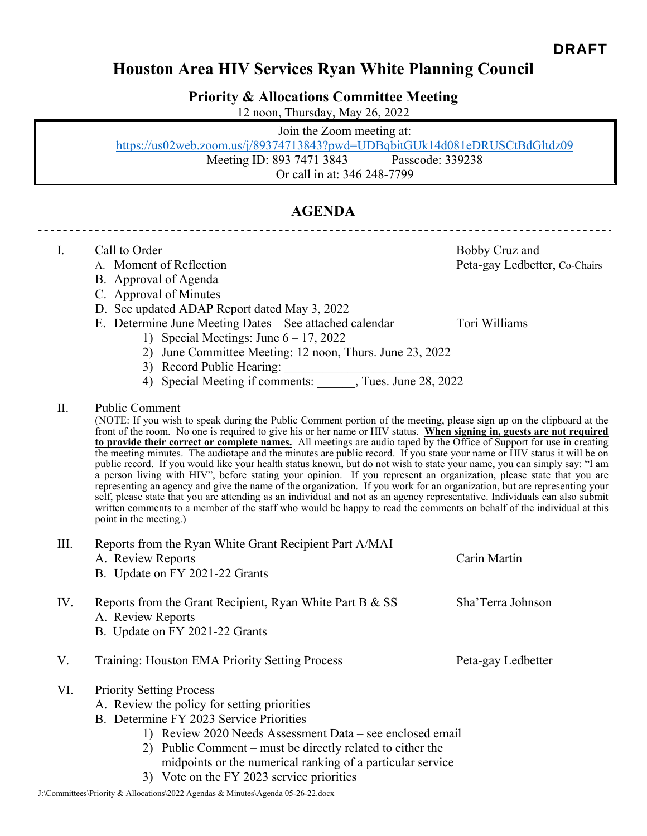## **Houston Area HIV Services Ryan White Planning Council**

**Priority & Allocations Committee Meeting** 

12 noon, Thursday, May 26, 2022

Join the Zoom meeting at: https://us02web.zoom.us/j/89374713843?pwd=UDBqbitGUk14d081eDRUSCtBdGltdz09 Meeting ID: 893 7471 3843 Passcode: 339238 Or call in at: 346 248-7799

## **AGENDA**

| Ι.   | Call to Order<br>A. Moment of Reflection<br>B. Approval of Agenda<br>C. Approval of Minutes<br>D. See updated ADAP Report dated May 3, 2022<br>E. Determine June Meeting Dates – See attached calendar<br>1) Special Meetings: June $6 - 17$ , 2022<br>2) June Committee Meeting: 12 noon, Thurs. June 23, 2022                                                                                                                                                                                                                                                                                                                                                                                                                                                                                                                                                                                                                                                                                                                                                                                                                                                                              | Bobby Cruz and<br>Peta-gay Ledbetter, Co-Chairs<br>Tori Williams |
|------|----------------------------------------------------------------------------------------------------------------------------------------------------------------------------------------------------------------------------------------------------------------------------------------------------------------------------------------------------------------------------------------------------------------------------------------------------------------------------------------------------------------------------------------------------------------------------------------------------------------------------------------------------------------------------------------------------------------------------------------------------------------------------------------------------------------------------------------------------------------------------------------------------------------------------------------------------------------------------------------------------------------------------------------------------------------------------------------------------------------------------------------------------------------------------------------------|------------------------------------------------------------------|
|      | 3) Record Public Hearing:                                                                                                                                                                                                                                                                                                                                                                                                                                                                                                                                                                                                                                                                                                                                                                                                                                                                                                                                                                                                                                                                                                                                                                    |                                                                  |
| II.  | <b>Public Comment</b><br>(NOTE: If you wish to speak during the Public Comment portion of the meeting, please sign up on the clipboard at the<br>front of the room. No one is required to give his or her name or HIV status. When signing in, guests are not required<br>to provide their correct or complete names. All meetings are audio taped by the Office of Support for use in creating<br>the meeting minutes. The audiotape and the minutes are public record. If you state your name or HIV status it will be on<br>public record. If you would like your health status known, but do not wish to state your name, you can simply say: "I am<br>a person living with HIV", before stating your opinion. If you represent an organization, please state that you are<br>representing an agency and give the name of the organization. If you work for an organization, but are representing your<br>self, please state that you are attending as an individual and not as an agency representative. Individuals can also submit<br>written comments to a member of the staff who would be happy to read the comments on behalf of the individual at this<br>point in the meeting.) |                                                                  |
| III. | Reports from the Ryan White Grant Recipient Part A/MAI<br>A. Review Reports<br>B. Update on FY 2021-22 Grants                                                                                                                                                                                                                                                                                                                                                                                                                                                                                                                                                                                                                                                                                                                                                                                                                                                                                                                                                                                                                                                                                | Carin Martin                                                     |
| IV.  | Reports from the Grant Recipient, Ryan White Part B & SS<br>A. Review Reports<br>B. Update on FY 2021-22 Grants                                                                                                                                                                                                                                                                                                                                                                                                                                                                                                                                                                                                                                                                                                                                                                                                                                                                                                                                                                                                                                                                              | Sha'Terra Johnson                                                |
| V.   | Training: Houston EMA Priority Setting Process                                                                                                                                                                                                                                                                                                                                                                                                                                                                                                                                                                                                                                                                                                                                                                                                                                                                                                                                                                                                                                                                                                                                               | Peta-gay Ledbetter                                               |
| VI.  | <b>Priority Setting Process</b><br>A. Review the policy for setting priorities<br>B. Determine FY 2023 Service Priorities<br>1) Review 2020 Needs Assessment Data – see enclosed email<br>2) Public Comment – must be directly related to either the<br>midpoints or the numerical ranking of a particular service<br>3) Vote on the FY 2023 service priorities                                                                                                                                                                                                                                                                                                                                                                                                                                                                                                                                                                                                                                                                                                                                                                                                                              |                                                                  |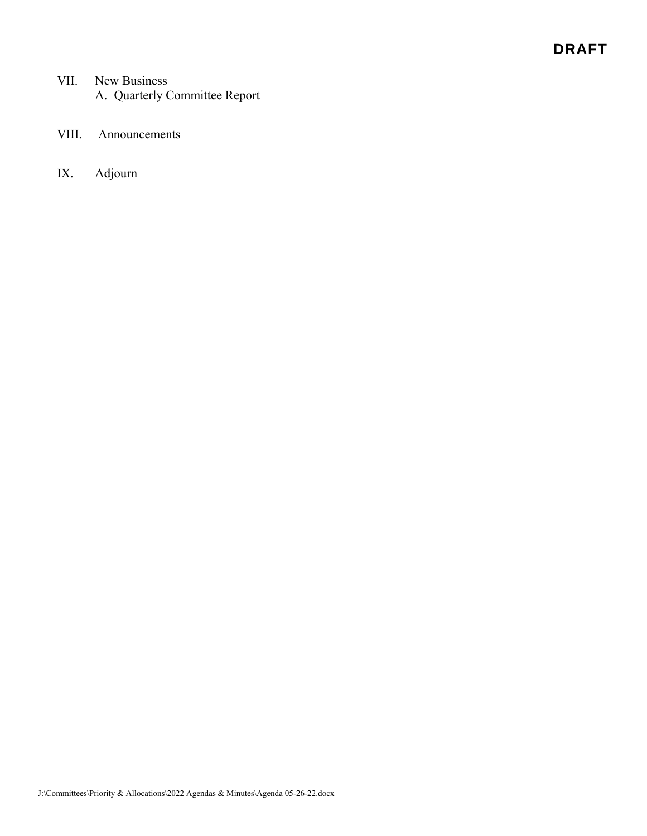## DRAFT

- VII. New Business A. Quarterly Committee Report
- VIII. Announcements
- IX. Adjourn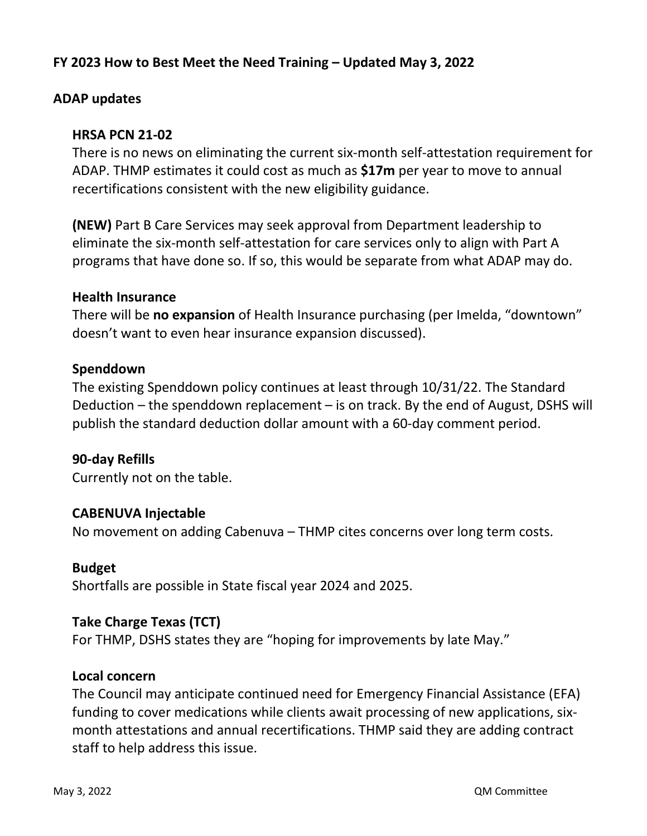## **FY 2023 How to Best Meet the Need Training – Updated May 3, 2022**

## **ADAP updates**

## **HRSA PCN 21-02**

There is no news on eliminating the current six-month self-attestation requirement for ADAP. THMP estimates it could cost as much as **\$17m** per year to move to annual recertifications consistent with the new eligibility guidance.

**(NEW)** Part B Care Services may seek approval from Department leadership to eliminate the six-month self-attestation for care services only to align with Part A programs that have done so. If so, this would be separate from what ADAP may do.

## **Health Insurance**

There will be **no expansion** of Health Insurance purchasing (per Imelda, "downtown" doesn't want to even hear insurance expansion discussed).

## **Spenddown**

The existing Spenddown policy continues at least through 10/31/22. The Standard Deduction – the spenddown replacement – is on track. By the end of August, DSHS will publish the standard deduction dollar amount with a 60-day comment period.

## **90-day Refills**

Currently not on the table.

## **CABENUVA Injectable**

No movement on adding Cabenuva – THMP cites concerns over long term costs.

## **Budget**

Shortfalls are possible in State fiscal year 2024 and 2025.

## **Take Charge Texas (TCT)**

For THMP, DSHS states they are "hoping for improvements by late May."

## **Local concern**

The Council may anticipate continued need for Emergency Financial Assistance (EFA) funding to cover medications while clients await processing of new applications, sixmonth attestations and annual recertifications. THMP said they are adding contract staff to help address this issue.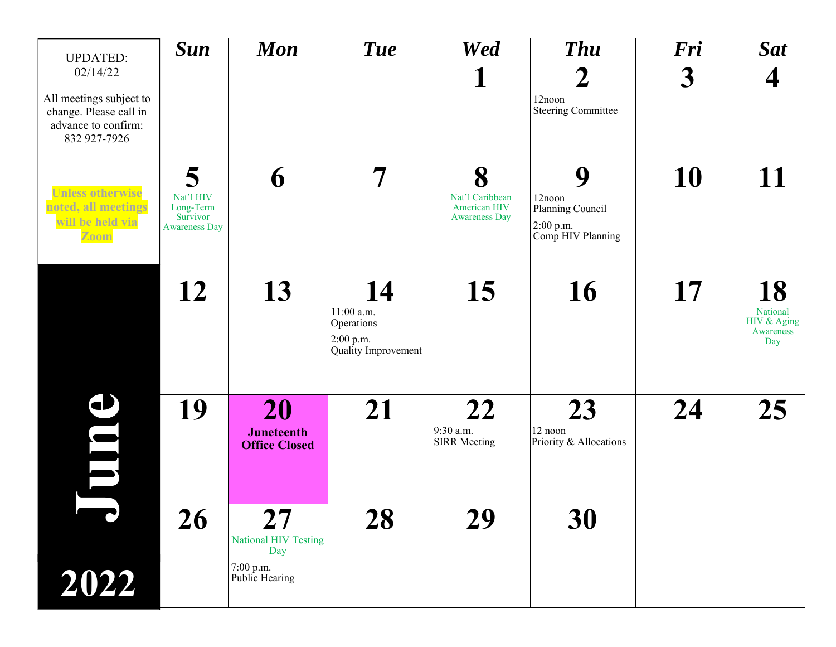| <b>UPDATED:</b>                                                                                      | <b>Sun</b>                                                      | <b>Mon</b>                                      | Tue                                                                    | <b>Wed</b>                                                   | <b>Thu</b>                                                        | Fri | <b>Sat</b>                                        |
|------------------------------------------------------------------------------------------------------|-----------------------------------------------------------------|-------------------------------------------------|------------------------------------------------------------------------|--------------------------------------------------------------|-------------------------------------------------------------------|-----|---------------------------------------------------|
| 02/14/22<br>All meetings subject to<br>change. Please call in<br>advance to confirm:<br>832 927-7926 |                                                                 |                                                 |                                                                        |                                                              | $\mathbf{\mathcal{D}}$<br>12noon<br><b>Steering Committee</b>     | 3   | 4                                                 |
| <b>Unless otherwise</b><br>noted, all meetings<br>will be held via<br>Zoom                           | 5<br>Nat'l HIV<br>Long-Term<br>Survivor<br><b>Awareness Day</b> | 6                                               |                                                                        | 8<br>Nat'l Caribbean<br>American HIV<br><b>Awareness Day</b> | 9<br>12noon<br>Planning Council<br>2:00 p.m.<br>Comp HIV Planning | 10  | 11                                                |
|                                                                                                      | 12                                                              | 13                                              | 14<br>$11:00$ a.m.<br>Operations<br>$2:00$ p.m.<br>Quality Improvement | 15                                                           | 16                                                                | 17  | 18<br>National<br>HIV & Aging<br>Awareness<br>Day |
| <u>ය</u><br>$\blacksquare$                                                                           | 19                                                              | 20<br><b>Juneteenth</b><br><b>Office Closed</b> | 21                                                                     | 22<br>9:30 a.m.<br><b>SIRR Meeting</b>                       | 23<br>12 noon<br>Priority & Allocations                           | 24  | 25                                                |
|                                                                                                      | 26                                                              | 27<br><b>National HIV Testing</b><br>Day        | 28                                                                     | 29                                                           | 30                                                                |     |                                                   |
| 2022                                                                                                 |                                                                 | 7:00 p.m.<br>Public Hearing                     |                                                                        |                                                              |                                                                   |     |                                                   |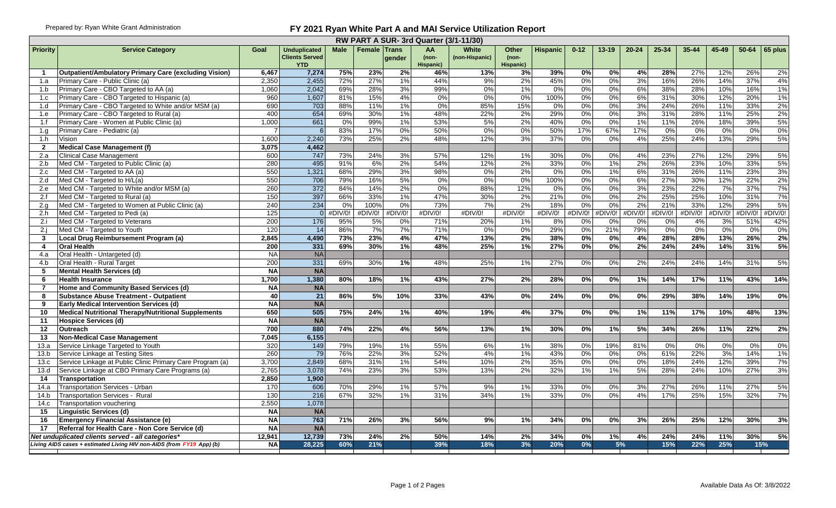#### Prepared by: Ryan White Grant Administration **FY 2021 Ryan White Part A and MAI Service Utilization Report**

|                 |                                                                             |                |                                                            |             |                     |          | RW PART A SUR-3rd Quarter (3/1-11/30) |                         |                                      |                 |          |           |           |            |           |         |         |         |
|-----------------|-----------------------------------------------------------------------------|----------------|------------------------------------------------------------|-------------|---------------------|----------|---------------------------------------|-------------------------|--------------------------------------|-----------------|----------|-----------|-----------|------------|-----------|---------|---------|---------|
| <b>Priority</b> | <b>Service Category</b>                                                     | Goal           | <b>Unduplicated</b><br><b>Clients Served</b><br><b>YTD</b> | <b>Male</b> | <b>Female Trans</b> | gender   | AA<br>(non-<br>Hispanic)              | White<br>(non-Hispanic) | <b>Other</b><br>$(non-$<br>Hispanic) | <b>Hispanic</b> | $0 - 12$ | $13 - 19$ | $20 - 24$ | 25-34      | $35 - 44$ | 45-49   | 50-64   | 65 plus |
| $\mathbf{1}$    | <b>Outpatient/Ambulatory Primary Care (excluding Vision)</b>                | 6,467          | 7,274                                                      | 75%         | 23%                 | 2%       | 46%                                   | 13%                     | 3%                                   | 39%             | 0%       | 0%        | 4%        | 28%        | 27%       | 12%     | 26%     | 2%      |
| 1.a             | Primary Care - Public Clinic (a)                                            | 2,350          | 2,455                                                      | 72%         | 27%                 | 1%       | 44%                                   | 9%                      | 2%                                   | 45%             | 0%       | 0%        | 3%        | 16%        | 26%       | 14%     | 37%     | 4%      |
| 1.b             | Primary Care - CBO Targeted to AA (a)                                       | 1,060          | 2,042                                                      | 69%         | 28%                 | 3%       | 99%                                   | 0%                      | 1%                                   | 0%              | 0%       | 0%        | 6%        | 38%        | 28%       | 10%     | 16%     | 1%      |
| 1.c             | Primary Care - CBO Targeted to Hispanic (a)                                 | 960            | 1,607                                                      | 81%         | 15%                 | 4%       | $0\%$                                 | $0\%$                   | 0%                                   | 100%            | 0%       | 0%        | 6%        | 31%        | 30%       | 12%     | 20%     | 1%      |
| 1.d             | Primary Care - CBO Targeted to White and/or MSM (a)                         | 690            | 703                                                        | 88%         | 11%                 | 1%       | 0%                                    | 85%                     | 15%                                  | 0%              | 0%       | 0%        | 3%        | 24%        | 26%       | 11%     | 33%     | 2%      |
| 1.e             | Primary Care - CBO Targeted to Rural (a)                                    | 400            | 654                                                        | 69%         | 30%                 | 1%       | 48%                                   | 22%                     | 2%                                   | 29%             | 0%       | 0%        | 3%        | 31%        | 28%       | 11%     | 25%     | 2%      |
| 1.f             | Primary Care - Women at Public Clinic (a)                                   | 1,000          | 661                                                        | 0%          | 99%                 | 1%       | 53%                                   | 5%                      | 2%                                   | 40%             | 0%       | 0%        | 1%        | 11%        | 26%       | 18%     | 39%     | 5%      |
| 1.q             | Primary Care - Pediatric (a)                                                |                | 6                                                          | 83%         | 17%                 | 0%       | 50%                                   | 0%                      | 0%                                   | 50%             | 17%      | 67%       | 17%       | 0%         | 0%        | 0%      | 0%      | 0%      |
| 1.h             | Vision                                                                      | 1,600          | 2,240                                                      | 73%         | 25%                 | 2%       | 48%                                   | 12%                     | 3%                                   | 37%             | 0%       | 0%        | 4%        | 25%        | 24%       | 13%     | 29%     | 5%      |
| $\mathbf{2}$    | Medical Case Management (f)                                                 | 3,075          | 4,462                                                      |             |                     |          |                                       |                         |                                      |                 |          |           |           |            |           |         |         |         |
| 2.a             | <b>Clinical Case Management</b>                                             | 600            | 747                                                        | 73%         | 24%                 | 3%       | 57%                                   | 12%                     | 1%                                   | 30%             | 0%       | 0%        | 4%        | 23%        | 27%       | 12%     | 29%     | 5%      |
| 2.b             | Med CM - Targeted to Public Clinic (a)                                      | 280            | 495                                                        | 91%         | 6%                  | 2%       | 54%                                   | 12%                     | 2%                                   | 33%             | 0%       | 1%        | 2%        | 26%        | 23%       | 10%     | 33%     | 5%      |
| 2.c             | Med CM - Targeted to AA (a)                                                 | 550            | 1,321                                                      | 68%         | 29%                 | 3%       | 98%                                   | 0%                      | 2%                                   | 0%              | 0%       | 1%        | 6%        | 31%        | 26%       | 11%     | 23%     | 3%      |
| 2.d             | Med CM - Targeted to H/L(a)                                                 | 550            | 706                                                        | 79%         | 16%                 | 5%       | 0%                                    | $0\%$                   | 0%                                   | 100%            | 0%       | 0%        | 6%        | 27%        | 30%       | 12%     | 22%     | 2%      |
| 2.e             | Med CM - Targeted to White and/or MSM (a)                                   | 260            | 372                                                        | 84%         | 14%                 | 2%       | 0%                                    | 88%                     | 12%                                  | 0%              | 0%       | 0%        | 3%        | 23%        | 22%       | 7%      | 37%     | 7%      |
| 2.f             | Med CM - Targeted to Rural (a)                                              | 150            | 397                                                        | 66%         | 33%                 | 1%       | 47%                                   | 30%                     | 2%                                   | 21%             | 0%       | 0%        | 2%        | 25%        | 25%       | 10%     | 31%     | 7%      |
| 2.q             | Med CM - Targeted to Women at Public Clinic (a)                             | 240            | 234                                                        | 0%          | 100%                | $0\%$    | 73%                                   | 7%                      | 2%                                   | 18%             | 0%       | 0%        | 2%        | 21%        | 33%       | 12%     | 29%     | 5%      |
| 2.h             | Med CM - Targeted to Pedi (a)                                               | 125            | $\Omega$                                                   | #DIV/0!     | #DIV/0!             | #DIV/0!  | #DIV/0!                               | #DIV/0!                 | #DIV/0!                              | #DIV/0!         | #DIV/0!  | #DIV/0!   | #DIV/0!   | #DIV/0!    | #DIV/0!   | #DIV/0! | #DIV/0! | #DIV/0! |
| 2.i             | Med CM - Targeted to Veterans                                               | 200            | 176                                                        | 95%         | 5%                  | 0%       | 71%                                   | 20%                     | 1%                                   | 8%              | 0%       | 0%        | 0%        | 0%         | 4%        | 3%      | 51%     | 42%     |
| 2.i             | Med CM - Targeted to Youth                                                  | 120            | 14                                                         | 86%         | 7%                  | 7%       | 71%                                   | 0%                      | 0%                                   | 29%             | 0%       | 21%       | 79%       | 0%         | 0%        | 0%      | 0%      | 0%      |
| $\mathbf{3}$    | Local Drug Reimbursement Program (a)                                        | 2.845          | 4,490                                                      | 73%         | 23%                 | 4%       | 47%                                   | 13%                     | 2%                                   | 38%             | 0%       | 0%        | 4%        | 28%        | 28%       | 13%     | 26%     | 2%      |
| 4               | <b>Oral Health</b>                                                          | 200            | 331                                                        | 69%         | 30%                 | 1%       | 48%                                   | 25%                     | 1%                                   | 27%             | 0%       | 0%        | 2%        | 24%        | 24%       | 14%     | 31%     | 5%      |
| 4.a             | Oral Health - Untargeted (d)                                                | <b>NA</b>      | <b>NA</b>                                                  |             |                     |          |                                       |                         |                                      |                 |          |           |           |            |           |         |         |         |
| 4.b             | Oral Health - Rural Target                                                  | 200            | $\overline{331}$                                           | 69%         | 30%                 | 1%       | 48%                                   | 25%                     | 1%                                   | 27%             | 0%       | 0%        | 2%        | 24%        | 24%       | 14%     | 31%     | 5%      |
| 5               | Mental Health Services (d)                                                  | <b>NA</b>      | <b>NA</b>                                                  |             |                     |          |                                       |                         |                                      |                 |          |           |           |            |           |         |         |         |
| 6               | <b>Health Insurance</b>                                                     | 1,700          | 1,380                                                      | 80%         | 18%                 | 1%       | 43%                                   | 27%                     | 2%                                   | 28%             | $0\%$    | 0%        | $1\%$     | 14%        | 17%       | 11%     | 43%     | 14%     |
| $\overline{7}$  | Home and Community Based Services (d)                                       | <b>NA</b>      | <b>NA</b>                                                  |             |                     |          |                                       |                         |                                      |                 |          |           |           |            |           |         |         |         |
| 8               | <b>Substance Abuse Treatment - Outpatient</b>                               | 40             | $\overline{21}$                                            | 86%         | 5%                  | 10%      | 33%                                   | 43%                     | $\overline{0\%}$                     | 24%             | 0%       | 0%        | 0%        | 29%        | 38%       | 14%     | 19%     | 0%      |
| 9               | <b>Early Medical Intervention Services (d)</b>                              | <b>NA</b>      | <b>NA</b>                                                  |             |                     |          |                                       |                         |                                      |                 |          |           |           |            |           |         |         |         |
| 10              | Medical Nutritional Therapy/Nutritional Supplements                         | 650            | 505                                                        | 75%         | 24%                 | 1%       | 40%                                   | 19%                     | 4%                                   | 37%             | 0%       | 0%        | 1%        | 11%        | 17%       | 10%     | 48%     | 13%     |
| 11              | <b>Hospice Services (d)</b>                                                 | <b>NA</b>      | <b>NA</b>                                                  |             |                     |          |                                       |                         |                                      |                 |          |           |           |            |           |         |         |         |
| 12              | <b>Outreach</b>                                                             | 700            | 880                                                        | 74%         | 22%                 | 4%       | 56%                                   | 13%                     | 1%                                   | 30%             | 0%       | 1%        | 5%        | 34%        | 26%       | 11%     | 22%     | 2%      |
| 13              | <b>Non-Medical Case Management</b>                                          | 7.045          | 6,155                                                      |             |                     |          |                                       |                         |                                      |                 |          |           |           |            |           |         |         |         |
| 13.a            | Service Linkage Targeted to Youth                                           | 320            | 149                                                        | 79%         | 19%                 | 1%       | 55%                                   | 6%                      | 1%                                   | 38%             | 0%       | 19%       | 81%       | 0%         | 0%        | 0%      | 0%      | 0%      |
| 13.b            | Service Linkage at Testing Sites                                            | 260            | 79                                                         | 76%         | 22%                 | 3%       | 52%                                   | 4%                      | 1%                                   | 43%<br>35%      | 0%       | 0%        | 0%        | 61%        | 22%       | 3%      | 14%     | 1%      |
| 13.c            | Service Linkage at Public Clinic Primary Care Program (a)                   | 3,700          | 2,849                                                      | 68%         | 31%<br>23%          | 1%<br>3% | 54%                                   | 10%                     | 2%<br>2%                             | 32%             | 0%       | 0%        | 0%<br>5%  | 18%<br>28% | 24%       | 12%     | 39%     | 7%      |
| 13.d            | Service Linkage at CBO Primary Care Programs (a)                            | 2,765          | 3,078                                                      | 74%         |                     |          | 53%                                   | 13%                     |                                      |                 | 1%       | 1%        |           |            | 24%       | 10%     | 27%     | 3%      |
| 14              | Transportation                                                              | 2,850          | 1,900<br>606                                               |             | 29%                 |          | 57%                                   |                         | 1%                                   | 33%             |          |           |           | 27%        | 26%       |         | 27%     |         |
| 14.a            | Transportation Services - Urban                                             | 170            |                                                            | 70%         |                     | 1%       |                                       | 9%                      |                                      |                 | 0%       | 0%        | 3%        |            |           | 11%     |         | 5%      |
| 14.b<br>14.c    | <b>Transportation Services - Rural</b>                                      | 130<br>2,550   | 216<br>1,078                                               | 67%         | 32%                 | 1%       | 31%                                   | 34%                     | 1%                                   | 33%             | 0%       | 0%        | 4%        | 17%        | 25%       | 15%     | 32%     | 7%      |
| 15              | <b>Transportation vouchering</b>                                            | <b>NA</b>      | <b>NA</b>                                                  |             |                     |          |                                       |                         |                                      |                 |          |           |           |            |           |         |         |         |
| 16              | <b>Linguistic Services (d)</b><br><b>Emergency Financial Assistance (e)</b> | <b>NA</b>      | 763                                                        | 71%         | 26%                 | 3%       | 56%                                   | 9%                      | 1%                                   | 34%             | 0%       | 0%        | 3%        | 26%        | 25%       | 12%     | 30%     | 3%      |
| 17              | Referral for Health Care - Non Core Service (d)                             | N <sub>A</sub> | <b>NA</b>                                                  |             |                     |          |                                       |                         |                                      |                 |          |           |           |            |           |         |         |         |
|                 | Net unduplicated clients served - all categories                            | 12,941         | 12,739                                                     | 73%         | 24%                 | 2%       | 50%                                   | 14%                     | 2%                                   | 34%             | 0%       | 1%        | 4%        | 24%        | 24%       | 11%     | 30%     | 5%      |
|                 | Living AIDS cases + estimated Living HIV non-AIDS (from FY19 App) (b)       | <b>NA</b>      | 28.225                                                     | 60%         | 21%                 |          | 39%                                   | 18%                     | 3%                                   | 20%             | 0%       | 5%        |           | 15%        | 22%       | 25%     |         | 15%     |
|                 |                                                                             |                |                                                            |             |                     |          |                                       |                         |                                      |                 |          |           |           |            |           |         |         |         |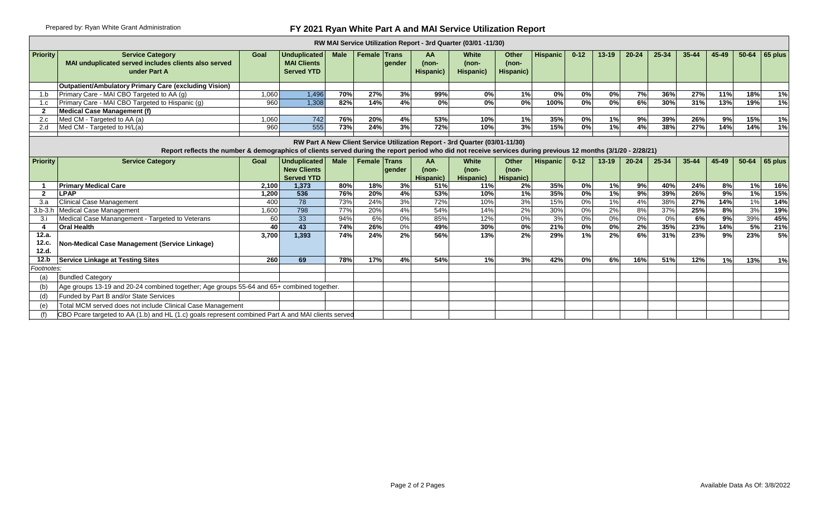## Prepared by: Ryan White Grant Administration **FY 2021 Ryan White Part A and MAI Service Utilization Report**

|                         |                                                                                                                                                                |       |                                                                |             |                     |               |                          | RW MAI Service Utilization Report - 3rd Quarter (03/01 -11/30)              |                               |                 |                  |           |           |       |           |               |       |                  |
|-------------------------|----------------------------------------------------------------------------------------------------------------------------------------------------------------|-------|----------------------------------------------------------------|-------------|---------------------|---------------|--------------------------|-----------------------------------------------------------------------------|-------------------------------|-----------------|------------------|-----------|-----------|-------|-----------|---------------|-------|------------------|
| <b>Priority</b>         | <b>Service Category</b><br>MAI unduplicated served includes clients also served<br>under Part A                                                                | Goal  | <b>Unduplicated</b><br><b>MAI Clients</b><br><b>Served YTD</b> | <b>Male</b> | <b>Female Trans</b> | <b>aender</b> | AA<br>(non-<br>Hispanic) | <b>White</b><br>(non-<br>Hispanic)                                          | Other<br>$(non-$<br>Hispanic) | <b>Hispanic</b> | $0 - 12$         | $13 - 19$ | $20 - 24$ | 25-34 | $35 - 44$ | 45-49         | 50-64 | 65 plus          |
|                         | Outpatient/Ambulatory Primary Care (excluding Vision)                                                                                                          |       |                                                                |             |                     |               |                          |                                                                             |                               |                 |                  |           |           |       |           |               |       |                  |
| 1.b                     | Primary Care - MAI CBO Targeted to AA (g)                                                                                                                      | 1.060 | 1,496                                                          | 70%         | 27%                 | 3%            | 99%                      | 0%                                                                          | 1%                            | 0%              | 0%               | 0%        | 7%        | 36%   | 27%       | 11%           | 18%   | 1%               |
| 1.c                     | Primary Care - MAI CBO Targeted to Hispanic (g)                                                                                                                | 960   | 1,308                                                          | 82%         | 14%                 | 4%            | 0%                       | $\overline{0\%}$                                                            | 0%                            | 100%            | $\overline{0\%}$ | 0%        | 6%        | 30%   | 31%       | 13%           | 19%   | 1%               |
|                         | <b>Medical Case Management (f)</b>                                                                                                                             |       |                                                                |             |                     |               |                          |                                                                             |                               |                 |                  |           |           |       |           |               |       |                  |
| 2.c                     | Med CM - Targeted to AA (a)                                                                                                                                    | 1.060 | 742                                                            | 76%         | 20%                 | 4%            | 53%                      | 10%                                                                         | 1%                            | 35%             | 0%               | 1%        | 9%        | 39%   | 26%       | 9%            | 15%   | $\overline{1\%}$ |
| 2.d                     | Med CM - Targeted to H/L(a)                                                                                                                                    | 960   | 555                                                            | 73%         | 24%                 | 3%            | 72%                      | 10%                                                                         | 3%                            | 15%             | 0%               | 1%        | 4%        | 38%   | 27%       | 14%           | 14%   | 1%               |
|                         | Report reflects the number & demographics of clients served during the report period who did not receive services during previous 12 months (3/1/20 - 2/28/21) |       |                                                                |             |                     |               |                          | RW Part A New Client Service Utilization Report - 3rd Quarter (03/01-11/30) |                               |                 |                  |           |           |       |           |               |       |                  |
| <b>Priority</b>         | <b>Service Category</b>                                                                                                                                        | Goal  | <b>Unduplicated</b><br><b>New Clients</b><br><b>Served YTD</b> | <b>Male</b> | <b>Female Trans</b> | gender        | AA<br>(non-<br>Hispanic) | White<br>(non-<br>Hispanic)                                                 | Other<br>$(non-$<br>Hispanic) | <b>Hispanic</b> | $0 - 12$         | $13 - 19$ | $20 - 24$ | 25-34 | $35 - 44$ | 45-49         | 50-64 | 65 plus          |
|                         | <b>Primary Medical Care</b>                                                                                                                                    | 2,100 | 1,373                                                          | 80%         | 18%                 | 3%            | 51%                      | 11%                                                                         | 2%                            | 35%             | 0%               | 1%        | 9%        | 40%   | 24%       | $\frac{8}{6}$ | 1%    | 16%              |
| 2                       | <b>LPAP</b>                                                                                                                                                    | 1.200 | 536                                                            | 76%         | 20%                 | 4%            | 53%                      | 10%                                                                         | 1%                            | 35%             | 0%               | 1%        | 9%        | 39%   | 26%       | 9%            | 1%    | 15%              |
|                         | <b>Clinical Case Management</b>                                                                                                                                | 400   | 78                                                             | 73%         | 24%                 | 3%            | 72%                      | 10%                                                                         | 3%                            | 15%             | 0%               | 1%        | 4%        | 38%   | 27%       | 14%           | 1%    | 14%              |
| $3.b-3.h$               | Medical Case Management                                                                                                                                        | 1.600 | 798                                                            | 77%         | 20%                 | 4%            | 54%                      | 14%                                                                         | 2%                            | 30%             | $0\%$            | 2%        | 8%        | 37%   | 25%       | 8%            | 3%    | 19%              |
| 3.i                     | Medical Case Manangement - Targeted to Veterans                                                                                                                | 60    | 33                                                             | 94%         | 6%                  | 0%            | 85%                      | 12%                                                                         | 0%                            | 3%              | 0%               | 0%        | 0%        | 0%    | 6%        | 9%            | 39%   | 45%              |
|                         | <b>Oral Health</b>                                                                                                                                             | 40    | 43                                                             | 74%         | 26%                 | $0\%$         | 49%                      | 30%                                                                         | 0%                            | 21%             | $\overline{0\%}$ | 0%        | 2%        | 35%   | 23%       | 14%           | 5%    | 21%              |
| 12.a.<br>12.c.<br>12.d. | Non-Medical Case Management (Service Linkage)                                                                                                                  | 3.700 | 1.393                                                          | 74%         | 24%                 | 2%            | 56%                      | 13%                                                                         | 2%                            | 29%             | 1%               | 2%        | 6%        | 31%   | 23%       | 9%            | 23%   | 5%               |
| 12.b                    | <b>Service Linkage at Testing Sites</b>                                                                                                                        | 260   | 69                                                             | 78%         | 17%                 | 4%            | 54%                      | 1%                                                                          | 3%                            | 42%             | 0%               | 6%        | 16%       | 51%   | 12%       | 1%            | 13%   | 1%               |
| Footnotes:              |                                                                                                                                                                |       |                                                                |             |                     |               |                          |                                                                             |                               |                 |                  |           |           |       |           |               |       |                  |
| (a                      | <b>Bundled Category</b>                                                                                                                                        |       |                                                                |             |                     |               |                          |                                                                             |                               |                 |                  |           |           |       |           |               |       |                  |
| (b)                     | Age groups 13-19 and 20-24 combined together; Age groups 55-64 and 65+ combined together.                                                                      |       |                                                                |             |                     |               |                          |                                                                             |                               |                 |                  |           |           |       |           |               |       |                  |
| (d                      | Funded by Part B and/or State Services                                                                                                                         |       |                                                                |             |                     |               |                          |                                                                             |                               |                 |                  |           |           |       |           |               |       |                  |
| (e)                     | Total MCM served does not include Clinical Case Management                                                                                                     |       |                                                                |             |                     |               |                          |                                                                             |                               |                 |                  |           |           |       |           |               |       |                  |
|                         | CBO Pcare targeted to AA (1.b) and HL (1.c) goals represent combined Part A and MAI clients served                                                             |       |                                                                |             |                     |               |                          |                                                                             |                               |                 |                  |           |           |       |           |               |       |                  |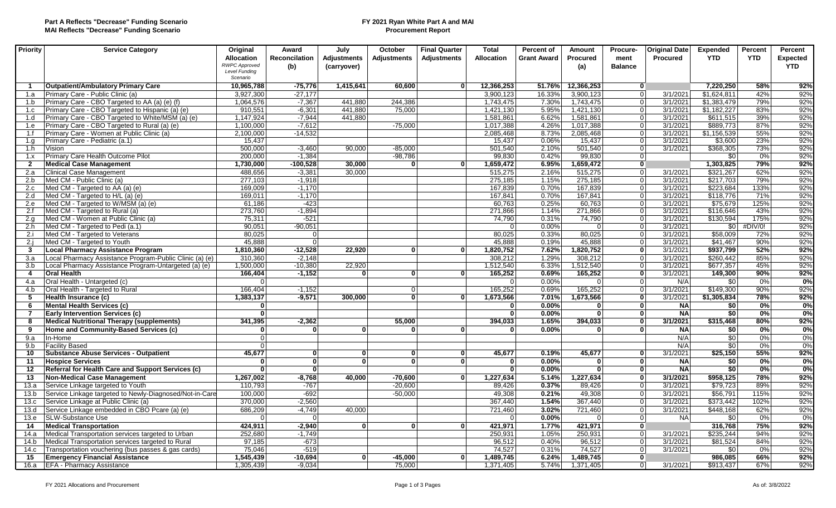#### **FY 2021 Ryan White Part A and MAI Procurement Report**

| Priority       | <b>Service Category</b>                                 | Original<br><b>Allocation</b>                            | Award<br><b>Reconcilation</b> | July<br>Adjustments | October<br><b>Adiustments</b> | <b>Final Quarter</b><br>Adjustments | <b>Total</b><br><b>Allocation</b> | Percent of<br><b>Grant Award</b> | <b>Amount</b><br><b>Procured</b> | Procure-<br>ment | <b>Original Date</b><br><b>Procured</b> | <b>Expended</b><br><b>YTD</b> | Percent<br><b>YTD</b> | Percent<br><b>Expected</b> |
|----------------|---------------------------------------------------------|----------------------------------------------------------|-------------------------------|---------------------|-------------------------------|-------------------------------------|-----------------------------------|----------------------------------|----------------------------------|------------------|-----------------------------------------|-------------------------------|-----------------------|----------------------------|
|                |                                                         | <b>RWPC Approved</b><br><b>Level Funding</b><br>Scenario | (b)                           | (carryover)         |                               |                                     |                                   |                                  | (a)                              | <b>Balance</b>   |                                         |                               |                       | <b>YTD</b>                 |
| $\mathbf 1$    | <b>Outpatient/Ambulatory Primary Care</b>               | 10,965,788                                               | $-75.776$                     | 1.415.641           | 60.600                        | $\mathbf{0}$                        | 12,366,253                        | 51.76%                           | 12,366,253                       | 0                |                                         | 7.220.250                     | 58%                   | 92%                        |
| 1.a            | Primary Care - Public Clinic (a)                        | 3,927,300                                                | $-27,177$                     |                     |                               |                                     | 3,900,123                         | 16.33%                           | 3,900,123                        | -ol              | 3/1/2021                                | \$1,624,811                   | 42%                   | 92%                        |
| 1.b            | Primary Care - CBO Targeted to AA (a) (e) (f)           | 1,064,576                                                | $-7,367$                      | 441.880             | 244,386                       |                                     | 1,743,475                         | 7.30%                            | 1,743,475                        | 0l               | 3/1/2021                                | \$1,383,479                   | 79%                   | 92%                        |
| 1.c            | Primary Care - CBO Targeted to Hispanic (a) (e)         | 910,551                                                  | $-6.301$                      | 441.880             | 75.000                        |                                     | 1,421,130                         | 5.95%                            | 1,421,130                        | 0l               | 3/1/2021                                | \$1,182,227                   | 83%                   | 92%                        |
| 1.d            | Primary Care - CBO Targeted to White/MSM (a) (e)        | 1,147,924                                                | $-7,944$                      | 441.880             |                               |                                     | 1,581,861                         | 6.62%                            | 1,581,861                        | 0                | 3/1/2021                                | \$611,515                     | 39%                   | 92%                        |
| 1.e            | Primary Care - CBO Targeted to Rural (a) (e)            | 1,100,000                                                | $-7,612$                      |                     | $-75,000$                     |                                     | 1,017,388                         | 4.26%                            | 1,017,388                        | 0l               | 3/1/2021                                | \$889,773                     | 87%                   | 92%                        |
| 1.f            | Primary Care - Women at Public Clinic (a)               | 2,100,000                                                | $-14,532$                     |                     |                               |                                     | 2,085,468                         | 8.73%                            | 2,085,468                        | 0l               | 3/1/2021                                | \$1,156,539                   | 55%                   | 92%                        |
| 1.a            | Primary Care - Pediatric (a.1)                          | 15,437                                                   |                               |                     |                               |                                     | 15,437                            | 0.06%                            | 15,437                           | 0l               | 3/1/2021                                | \$3,600                       | 23%                   | 92%                        |
| 1.h            | Vision                                                  | 500,000                                                  | $-3,460$                      | 90,000              | $-85,000$                     |                                     | 501,540                           | 2.10%                            | 501,540                          | -ol              | 3/1/2021                                | \$368,305                     | 73%                   | 92%                        |
| 1.x            | Primary Care Health Outcome Pilot                       | 200,000                                                  | $-1,384$                      |                     | $-98,786$                     |                                     | 99,830                            | 0.42%                            | 99,830                           | 0                |                                         | \$0                           | 0%                    | 92%                        |
| $\overline{2}$ | <b>Medical Case Management</b>                          | 1,730,000                                                | $-100,528$                    | 30.000              | 0                             | $\mathbf{0}$                        | 1,659,472                         | 6.95%                            | 1,659,472                        | 0                |                                         | 1,303,825                     | 79%                   | 92%                        |
| 2.a            | <b>Clinical Case Management</b>                         | 488,656                                                  | $-3,381$                      | 30.000              |                               |                                     | 515,275                           | 2.16%                            | 515,275                          | $\overline{0}$   | 3/1/2021                                | \$321,267                     | 62%                   | 92%                        |
| 2.b            | Med CM - Public Clinic (a)                              | 277,103                                                  | $-1,918$                      |                     |                               |                                     | 275,185                           | 1.15%                            | 275,185                          | 0                | 3/1/2021                                | \$217,703                     | 79%                   | 92%                        |
| 2.c            | Med CM - Targeted to AA (a) (e)                         | 169,009                                                  | $-1.170$                      |                     |                               |                                     | 167,839                           | 0.70%                            | 167,839                          | 0l               | 3/1/2021                                | \$223,684                     | 133%                  | 92%                        |
| 2.d            | Med CM - Targeted to H/L (a) (e)                        | 169,011                                                  | $-1.170$                      |                     |                               |                                     | 167,841                           | 0.70%                            | 167,841                          | $\mathbf 0$      | 3/1/2021                                | \$118,776                     | 71%                   | 92%                        |
| 2.e            | Med CM - Targeted to W/MSM (a) (e)                      | 61,186                                                   | $-423$                        |                     |                               |                                     | 60,763                            | 0.25%                            | 60,763                           | 0                | 3/1/2021                                | \$75,679                      | 125%                  | 92%                        |
| 2.f            | Med CM - Targeted to Rural (a)                          | 273,760                                                  | $-1,894$                      |                     |                               |                                     | 271,866                           | 1.14%                            | 271,866                          | 0l               | 3/1/2021                                | \$116,646                     | 43%                   | 92%                        |
| 2.a            | Med CM - Women at Public Clinic (a)                     | 75,311                                                   | $-521$                        |                     |                               |                                     | 74.790                            | 0.31%                            | 74.790                           | - Ol             | 3/1/2021                                | \$130,594                     | 175%                  | 92%                        |
| 2.h            | Med CM - Targeted to Pedi (a.1)                         | 90,051                                                   | $-90,051$                     |                     |                               |                                     | $\Omega$                          | 0.00%                            | $\Omega$                         | 0                | 3/1/2021                                | \$0                           | #DIV/0!               | 92%                        |
| 2.i            | Med CM - Targeted to Veterans                           | 80,025                                                   | $\overline{0}$                |                     |                               |                                     | 80,025                            | 0.33%                            | 80,025                           | 0l               | 3/1/2021                                | \$58,009                      | 72%                   | 92%                        |
| 2.1            | Med CM - Targeted to Youth                              | 45,888                                                   | $\overline{0}$                |                     |                               |                                     | 45,888                            | 0.19%                            | 45,888                           | 0l               | 3/1/2021                                | \$41.467                      | 90%                   | 92%                        |
| $\mathbf{3}$   | <b>Local Pharmacy Assistance Program</b>                | 1,810,360                                                | $-12,528$                     | 22.920              | 0                             | $\mathbf{0}$                        | 1,820,752                         | 7.62%                            | 1,820,752                        | 0                | 3/1/2021                                | \$937,799                     | 52%                   | 92%                        |
| 3.a            | Local Pharmacy Assistance Program-Public Clinic (a) (e) | 310,360                                                  | $-2,148$                      |                     |                               |                                     | 308.212                           | 1.29%                            | 308,212                          | -ol              | 3/1/2021                                | \$260,442                     | 85%                   | 92%                        |
| 3.b            | Local Pharmacy Assistance Program-Untargeted (a) (e)    | 1,500,000                                                | $-10,380$                     | 22.920              |                               |                                     | 1,512,540                         | 6.33%                            | 1,512,540                        | 0l               | 3/1/2021                                | \$677,357                     | 45%                   | 92%                        |
| 4              | <b>Oral Health</b>                                      | 166,404                                                  | $-1,152$                      | $\mathbf{0}$        | 0                             | $\mathbf{0}$                        | 165,252                           | 0.69%                            | 165.252                          | $\mathbf{0}$     | 3/1/2021                                | 149.300                       | 90%                   | 92%                        |
| 4.a            | Oral Health - Untargeted (c)                            | $\Omega$                                                 |                               |                     |                               |                                     | $\Omega$                          | 0.00%                            | $\Omega$                         | $\overline{0}$   | N/A                                     | \$0                           | 0%                    | 0%                         |
| 4.b            | Oral Health - Targeted to Rural                         | 166,404                                                  | $-1,152$                      |                     | 0l<br> 0                      | $\mathbf{0}$                        | 165,252                           | 0.69%                            | 165,252                          | 0l<br> 0         | 3/1/2021                                | \$149,300                     | 90%                   | 92%                        |
| 5              | Health Insurance (c)                                    | 1,383,137                                                | $-9,571$                      | 300,000             |                               |                                     | 1,673,566<br>$\Omega$             | 7.01%                            | 1,673,566<br>$\Omega$            | $\mathbf{0}$     | 3/1/2021                                | \$1,305,834                   | 78%                   | 92%                        |
| 6              | <b>Mental Health Services (c)</b>                       | $\mathbf{0}$                                             |                               |                     |                               |                                     |                                   | 0.00%                            |                                  |                  | <b>NA</b>                               | \$0                           | 0%                    | 0%                         |
| 7              | <b>Early Intervention Services (c)</b>                  | $\mathbf{0}$                                             |                               |                     |                               |                                     | $\bf{0}$                          | 0.00%                            | $\mathbf{0}$                     | $\mathbf{0}$     | <b>NA</b>                               | \$0                           | 0%                    | 0%                         |
| 8              | <b>Medical Nutritional Therapy (supplements)</b>        | 341,395                                                  | $-2,362$                      |                     | 55,000                        |                                     | 394,033                           | 1.65%                            | 394,033                          | $\Omega$         | 3/1/2021                                | \$315,468                     | 80%                   | 92%                        |
| 9              | Home and Community-Based Services (c)                   | $\mathbf 0$                                              | $\mathbf{0}$                  | $\mathbf{0}$        | 0                             | $\mathbf{0}$                        | $\bf{0}$                          | 0.00%                            | $\mathbf{0}$                     | $\mathbf{0}$     | <b>NA</b>                               | \$0                           | 0%                    | 0%                         |
| 9.a            | In-Home                                                 | $\Omega$                                                 |                               |                     |                               |                                     |                                   |                                  |                                  |                  | N/A                                     | \$0                           | 0%                    | 0%                         |
| 9.b            | <b>Facility Based</b>                                   | $\Omega$                                                 | <sup>o</sup>                  |                     |                               |                                     |                                   |                                  |                                  |                  | N/A                                     | $\overline{50}$               | 0%                    | 0%                         |
| 10             | <b>Substance Abuse Services - Outpatient</b>            | 45,677                                                   |                               | 0 <br>$\mathbf{0}$  | 0                             | $\mathbf{0}$<br>$\Omega$            | 45,677                            | 0.19%                            | 45,677                           | $\bf{0}$         | 3/1/2021                                | \$25,150                      | 55%                   | 92%                        |
| 11             | <b>Hospice Services</b>                                 | $\mathbf 0$                                              | $\mathbf{0}$                  |                     | 0                             |                                     | $\bf{0}$                          | 0.00%                            | $\mathbf{0}$                     | $\mathbf{0}$     | <b>NA</b>                               | \$0                           | 0%                    | 0%                         |
| 12             | Referral for Health Care and Support Services (c)       | 0                                                        | $\mathbf{0}$                  |                     |                               |                                     | $\mathbf{0}$                      | 0.00%                            | 0                                | 0                | <b>NA</b>                               | \$0                           | 0%                    | 0%                         |
| 13             | <b>Non-Medical Case Management</b>                      | 1,267,002                                                | $-8,768$                      | 40.000              | $-70.600$                     | $\mathbf{0}$                        | 1,227,634                         | 5.14%                            | 1,227,634                        | 0                | 3/1/2021                                | \$958,125                     | 78%                   | 92%                        |
| 13.a           | Service Linkage targeted to Youth                       | 110,793                                                  | $-767$                        |                     | $-20,600$                     |                                     | 89,426                            | 0.37%                            | 89,426                           | 0                | 3/1/2021                                | \$79,723                      | 89%                   | 92%                        |
| 13.b           | Service Linkage targeted to Newly-Diagnosed/Not-in-Care | 100,000                                                  | $-692$                        |                     | $-50,000$                     |                                     | 49,308                            | 0.21%                            | 49,308                           | 0l               | 3/1/2021                                | \$56,791                      | 115%                  | 92%                        |
| 13.c           | Service Linkage at Public Clinic (a)                    | 370,000                                                  | $-2,560$                      |                     |                               |                                     | 367,440                           | 1.54%                            | 367,440                          | $\overline{0}$   | 3/1/2021                                | \$373,442                     | 102%                  | 92%                        |
| 13.d           | Service Linkage embedded in CBO Pcare (a) (e)           | 686,209                                                  | $-4,749$                      | 40,000              |                               |                                     | 721,460                           | 3.02%                            | 721,460                          | 0                | 3/1/2021                                | \$448,168                     | 62%                   | 92%                        |
| 13.e           | <b>SLW-Substance Use</b>                                | $\Omega$                                                 | $\overline{0}$                |                     |                               |                                     | ∩                                 | 0.00%                            | $\Omega$                         | 0l               | <b>NA</b>                               | \$0                           | 0%                    | 0%                         |
| 14             | <b>Medical Transportation</b>                           | 424,911                                                  | $-2,940$                      | $\Omega$            | $\Omega$                      | $\Omega$                            | 421,971                           | 1.77%                            | 421,971                          | $\overline{0}$   |                                         | 316,768                       | 75%                   | 92%                        |
| 14.a           | Medical Transportation services targeted to Urban       | 252,680                                                  | $-1,749$                      |                     |                               |                                     | 250,931                           | 1.05%                            | 250,931                          | 0                | 3/1/2021                                | \$235,244                     | 94%                   | 92%                        |
| 14.b           | Medical Transportation services targeted to Rural       | 97,185                                                   | $-673$                        |                     |                               |                                     | 96.512                            | 0.40%                            | 96.512                           | $\Omega$         | 3/1/2021                                | \$81,524                      | 84%                   | 92%                        |
| 14.c           | Transportation vouchering (bus passes & gas cards)      | 75,046                                                   | $-519$                        |                     |                               |                                     | 74,527                            | 0.31%                            | 74.527                           | -ol              | 3/1/2021                                | \$0                           | 0%                    | 92%                        |
| 15             | <b>Emergency Financial Assistance</b>                   | 1,545,439                                                | $-10,694$                     | $\Omega$            | -45,000                       | $\Omega$                            | 1,489,745                         | 6.24%                            | 1,489,745                        | 0                |                                         | 986,085                       | 66%                   | 92%                        |
| 16.a           | <b>EFA - Pharmacy Assistance</b>                        | 1,305,439                                                | $-9,034$                      |                     | 75,000                        |                                     | 1,371,405                         | 5.74%                            | 1,371,405                        | 0l               | 3/1/2021                                | \$913,437                     | 67%                   | 92%                        |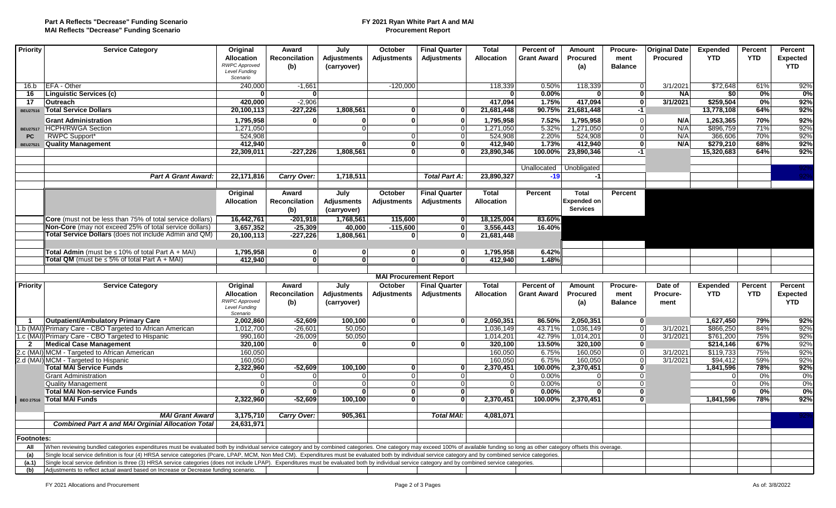#### **FY 2021 Ryan White Part A and MAI Procurement Report**

| Priority                     | <b>Service Category</b>                                                                                                                                                                                                                                                                                                                                                                                            | Original                         | Award                     | July                           | October                       | <b>Final Quarter</b>           | <b>Total</b>         | <b>Percent of</b>  | <b>Amount</b>        | Procure-       | <b>Original Date</b> | <b>Expended</b>      | Percent    | Percent         |
|------------------------------|--------------------------------------------------------------------------------------------------------------------------------------------------------------------------------------------------------------------------------------------------------------------------------------------------------------------------------------------------------------------------------------------------------------------|----------------------------------|---------------------------|--------------------------------|-------------------------------|--------------------------------|----------------------|--------------------|----------------------|----------------|----------------------|----------------------|------------|-----------------|
|                              |                                                                                                                                                                                                                                                                                                                                                                                                                    | <b>Allocation</b>                | Reconcilation             | Adjustments                    | <b>Adjustments</b>            | Adjustments                    | Allocation           | <b>Grant Award</b> | <b>Procured</b>      | ment           | Procured             | <b>YTD</b>           | <b>YTD</b> | <b>Expected</b> |
|                              |                                                                                                                                                                                                                                                                                                                                                                                                                    | <b>RWPC Approved</b>             | (b)                       | (carryover)                    |                               |                                |                      |                    | (a)                  | <b>Balance</b> |                      |                      |            | <b>YTD</b>      |
|                              |                                                                                                                                                                                                                                                                                                                                                                                                                    | <b>Level Funding</b><br>Scenario |                           |                                |                               |                                |                      |                    |                      |                |                      |                      |            |                 |
| 16.b                         | <b>EFA</b> - Other                                                                                                                                                                                                                                                                                                                                                                                                 | 240,000                          | $-1,661$                  |                                | $-120,000$                    |                                | 118,339              | 0.50%              | 118,339              | $\overline{0}$ | 3/1/2021             | \$72,648             | 61%        | 92%             |
| 16                           | Linguistic Services (c)                                                                                                                                                                                                                                                                                                                                                                                            | $\mathbf{0}$                     | 0                         |                                |                               |                                |                      | 0.00%              | <sup>0</sup>         | $\overline{0}$ | <b>NA</b>            | \$0                  | 0%         | 0%              |
| 17                           | <b>Outreach</b>                                                                                                                                                                                                                                                                                                                                                                                                    | 420.000                          | $-2.906$                  |                                |                               |                                | 417.094              | 1.75%              | 417.094              | 0              | 3/1/2021             | \$259.504            | 0%         | 92%             |
| <b>BEU27516</b>              | <b>Total Service Dollars</b>                                                                                                                                                                                                                                                                                                                                                                                       | 20,100,113                       | $-227,226$                | 1,808,561                      | $\bf{0}$                      | $\mathbf{0}$                   | 21,681,448           | 90.75%             | 21,681,448           | -1             |                      | 13,778,108           | 64%        | 92%             |
|                              |                                                                                                                                                                                                                                                                                                                                                                                                                    |                                  | $\Omega$                  | U                              | $\Omega$                      |                                |                      |                    |                      | $\overline{0}$ |                      |                      |            |                 |
|                              | <b>Grant Administration</b>                                                                                                                                                                                                                                                                                                                                                                                        | 1,795,958                        |                           | $\Omega$                       |                               | $\mathbf{0}$                   | 1,795,958            | 7.52%              | 1,795,958            | $\overline{0}$ | N/A<br>N/A           | 1,263,365            | 70%<br>71% | 92%<br>92%      |
|                              | BEU27517 HCPH/RWGA Section<br><b>RWPC Support*</b>                                                                                                                                                                                                                                                                                                                                                                 | 1,271,050<br>524,908             |                           |                                | 0                             | $\Omega$                       | 1,271,050            | 5.32%<br>2.20%     | 1,271,050<br>524,908 | 0              | N/A                  | \$896.759<br>366,606 | 70%        | 92%             |
| <b>PC</b><br><b>BEU27521</b> | <b>Quality Management</b>                                                                                                                                                                                                                                                                                                                                                                                          | 412,940                          |                           | $\Omega$                       | 0                             | $\overline{0}$<br>$\mathbf{0}$ | 524,908<br>412,940   | 1.73%              | 412,940              | 0              | N/A                  | \$279,210            | 68%        | 92%             |
|                              |                                                                                                                                                                                                                                                                                                                                                                                                                    | 22,309,011                       | $-227,226$                | 1,808,561                      | $\overline{0}$                | $\mathbf{0}$                   | 23,890,346           | 100.00%            | 23,890,346           | $-1$           |                      | 15,320,683           | 64%        | 92%             |
|                              |                                                                                                                                                                                                                                                                                                                                                                                                                    |                                  |                           |                                |                               |                                |                      |                    |                      |                |                      |                      |            |                 |
|                              |                                                                                                                                                                                                                                                                                                                                                                                                                    |                                  |                           |                                |                               |                                |                      | Unallocated        | Unobligated          |                |                      |                      |            |                 |
|                              | <b>Part A Grant Award:</b>                                                                                                                                                                                                                                                                                                                                                                                         | 22,171,816                       | Carry Over:               | 1,718,511                      |                               | <b>Total Part A:</b>           | 23,890,327           | $-19$              | $-1$                 |                |                      |                      |            |                 |
|                              |                                                                                                                                                                                                                                                                                                                                                                                                                    |                                  |                           |                                |                               |                                |                      |                    |                      |                |                      |                      |            |                 |
|                              |                                                                                                                                                                                                                                                                                                                                                                                                                    | Original                         | Award                     | July                           | October                       | <b>Final Quarter</b>           | <b>Total</b>         | Percent            | <b>Total</b>         | Percent        |                      |                      |            |                 |
|                              |                                                                                                                                                                                                                                                                                                                                                                                                                    | <b>Allocation</b>                | Reconcilation             | <b>Adjusments</b>              | <b>Adjustments</b>            | <b>Adjustments</b>             | <b>Allocation</b>    |                    | <b>Expended on</b>   |                |                      |                      |            |                 |
|                              |                                                                                                                                                                                                                                                                                                                                                                                                                    |                                  |                           |                                |                               |                                |                      |                    | <b>Services</b>      |                |                      |                      |            |                 |
|                              |                                                                                                                                                                                                                                                                                                                                                                                                                    |                                  | (b)                       | (carryover)                    |                               |                                |                      |                    |                      |                |                      |                      |            |                 |
|                              | Core (must not be less than 75% of total service dollars)                                                                                                                                                                                                                                                                                                                                                          | 16,442,761                       | $-201,918$                | 1,768,561                      | 115,600                       | $\mathbf{0}$                   | 18,125,004           | 83.60%             |                      |                |                      |                      |            |                 |
|                              | <b>Non-Core</b> (may not exceed 25% of total service dollars)<br>Total Service Dollars (does not include Admin and QM)                                                                                                                                                                                                                                                                                             | 3,657,352                        | $-25,309$                 | 40,000                         | $-115,600$                    | $\mathbf{0}$<br>$\Omega$       | 3,556,443            | 16.40%             |                      |                |                      |                      |            |                 |
|                              |                                                                                                                                                                                                                                                                                                                                                                                                                    | 20,100,113                       | $-227,226$                | 1,808,561                      | 0                             |                                | 21,681,448           |                    |                      |                |                      |                      |            |                 |
|                              |                                                                                                                                                                                                                                                                                                                                                                                                                    |                                  | $\mathbf{0}$              |                                |                               | $\mathbf{0}$                   |                      |                    |                      |                |                      |                      |            |                 |
|                              | Total Admin (must be $\leq 10\%$ of total Part A + MAI)<br><b>Total QM</b> (must be $\leq 5\%$ of total Part A + MAI)                                                                                                                                                                                                                                                                                              | 1,795,958<br>412,940             | $\overline{\mathfrak{o}}$ | $\mathbf{0}$<br>$\overline{0}$ | 0 <br>$\overline{\mathbf{0}}$ | 0                              | 1,795,958<br>412.940 | 6.42%<br>1.48%     |                      |                |                      |                      |            |                 |
|                              |                                                                                                                                                                                                                                                                                                                                                                                                                    |                                  |                           |                                |                               |                                |                      |                    |                      |                |                      |                      |            |                 |
|                              |                                                                                                                                                                                                                                                                                                                                                                                                                    |                                  |                           |                                | <b>MAI Procurement Report</b> |                                |                      |                    |                      |                |                      |                      |            |                 |
| <b>Priority</b>              | <b>Service Category</b>                                                                                                                                                                                                                                                                                                                                                                                            | Original                         | Award                     | July                           | October                       | <b>Final Quarter</b>           | <b>Total</b>         | <b>Percent of</b>  | Amount               | Procure-       | Date of              | <b>Expended</b>      | Percent    | Percent         |
|                              |                                                                                                                                                                                                                                                                                                                                                                                                                    | <b>Allocation</b>                | <b>Reconcilation</b>      | <b>Adjustments</b>             | <b>Adjustments</b>            | <b>Adjustments</b>             | <b>Allocation</b>    | <b>Grant Award</b> | <b>Procured</b>      | ment           | Procure-             | <b>YTD</b>           | <b>YTD</b> | <b>Expected</b> |
|                              |                                                                                                                                                                                                                                                                                                                                                                                                                    | <b>RWPC Approved</b>             | (b)                       | (carryover)                    |                               |                                |                      |                    | (a)                  | <b>Balance</b> | ment                 |                      |            | <b>YTD</b>      |
|                              |                                                                                                                                                                                                                                                                                                                                                                                                                    | <b>Level Funding</b>             |                           |                                |                               |                                |                      |                    |                      |                |                      |                      |            |                 |
|                              | <b>Outpatient/Ambulatory Primary Care</b>                                                                                                                                                                                                                                                                                                                                                                          | Scenario<br>2,002,860            | $-52,609$                 | 100,100                        | $\mathbf{0}$                  | $\mathbf{0}$                   | 2,050,351            | 86.50%             | 2,050,351            | $\mathbf{0}$   |                      | 1,627,450            | 79%        | 92%             |
|                              | 1.b (MAI) Primary Care - CBO Targeted to African American                                                                                                                                                                                                                                                                                                                                                          | 1.012.700                        | $-26.601$                 | 50.050                         |                               |                                | 1.036.149            | 43.71%             | 1.036.149            | -ol            | 3/1/2021             | \$866.250            | 84%        | 92%             |
|                              | 1.c (MAI) Primary Care - CBO Targeted to Hispanic                                                                                                                                                                                                                                                                                                                                                                  | 990,160                          | $-26,009$                 | 50,050                         |                               |                                | 1,014,201            | 42.79%             | 1,014,201            | $\overline{0}$ | 3/1/2021             | \$761,200            | 75%        | 92%             |
| $\overline{2}$               | <b>Medical Case Management</b>                                                                                                                                                                                                                                                                                                                                                                                     | 320,100                          | $\Omega$                  | O                              | $\mathbf{0}$                  | $\mathbf{0}$                   | 320,100              | $13.50\%$          | 320,100              | $\mathbf{0}$   |                      | \$214,146            | 67%        | 92%             |
|                              | 2.c (MAI) MCM - Targeted to African American                                                                                                                                                                                                                                                                                                                                                                       | 160,050                          |                           |                                |                               |                                | 160.050              | 6.75%              | 160,050              | 0              | 3/1/2021             | \$119.733            | 75%        | 92%             |
|                              | 2.d (MAI) MCM - Targeted to Hispanic                                                                                                                                                                                                                                                                                                                                                                               | 160,050                          |                           |                                |                               |                                | 160,050              | 6.75%              | 160.050              | 0              | 3/1/2021             | \$94.412             | 59%        | 92%             |
|                              | <b>Total MAI Service Funds</b>                                                                                                                                                                                                                                                                                                                                                                                     | 2,322,960                        | $-52,609$                 | 100.100                        | $\bf{0}$                      | $\mathbf{0}$                   | 2,370,451            | 100.00%            | 2,370,451            | 0              |                      | 1,841,596            | 78%        | 92%             |
|                              | <b>Grant Administration</b>                                                                                                                                                                                                                                                                                                                                                                                        | $\overline{0}$                   | $\Omega$                  | $\Omega$                       | 0                             | $\Omega$                       | $\overline{0}$       | 0.00%              | - O I                | $\overline{0}$ |                      | $\overline{0}$       | 0%         | 0%              |
|                              | <b>Quality Management</b>                                                                                                                                                                                                                                                                                                                                                                                          | $\overline{0}$                   | $\Omega$                  | $\Omega$                       | 0                             | $\Omega$                       | - Ol                 | 0.00%              | $\overline{0}$       | $\overline{0}$ |                      | $\overline{0}$       | 0%         | 0%              |
|                              | <b>Total MAI Non-service Funds</b>                                                                                                                                                                                                                                                                                                                                                                                 | $\mathbf{0}$                     | n١                        | U                              | $\mathbf{0}$                  | $\mathbf{0}$                   | $\mathbf{0}$         | 0.00%              | $\Omega$             | $\mathbf{0}$   |                      | $\mathbf{0}$         | 0%         | 0%              |
|                              | BEO 27516 Total MAI Funds                                                                                                                                                                                                                                                                                                                                                                                          | 2,322,960                        | $-52.609$                 | 100.100                        | $\Omega$                      | $\mathbf{0}$                   | 2,370,451            | 100.00%            | 2,370,451            | $\Omega$       |                      | 1,841,596            | 78%        | 92%             |
|                              |                                                                                                                                                                                                                                                                                                                                                                                                                    |                                  |                           |                                |                               |                                |                      |                    |                      |                |                      |                      |            |                 |
|                              | <b>MAI Grant Award</b>                                                                                                                                                                                                                                                                                                                                                                                             | 3,175,710                        | Carry Over:               | 905.361                        |                               | <b>Total MAI:</b>              | 4,081,071            |                    |                      |                |                      |                      |            |                 |
|                              | <b>Combined Part A and MAI Orginial Allocation Total</b>                                                                                                                                                                                                                                                                                                                                                           | 24,631,971                       |                           |                                |                               |                                |                      |                    |                      |                |                      |                      |            |                 |
|                              |                                                                                                                                                                                                                                                                                                                                                                                                                    |                                  |                           |                                |                               |                                |                      |                    |                      |                |                      |                      |            |                 |
| <b>Footnotes:</b>            |                                                                                                                                                                                                                                                                                                                                                                                                                    |                                  |                           |                                |                               |                                |                      |                    |                      |                |                      |                      |            |                 |
| All                          | When reviewing bundled categories expenditures must be evaluated both by individual service category and by combined categories. One category may exceed 100% of available funding so long as other category offsets this over                                                                                                                                                                                     |                                  |                           |                                |                               |                                |                      |                    |                      |                |                      |                      |            |                 |
| (a)                          | Single local service definition is four (4) HRSA service categories (Pcare, LPAP, MCM, Non Med CM). Expenditures must be evaluated both by individual service category and by combined service categories.<br>Single local service definition is three (3) HRSA service categories (does not include LPAP). Expenditures must be evaluated both by individual service category and by combined service categories. |                                  |                           |                                |                               |                                |                      |                    |                      |                |                      |                      |            |                 |
| (a.1)<br>(b)                 | Adjustments to reflect actual award based on Increase or Decrease funding scenario.                                                                                                                                                                                                                                                                                                                                |                                  |                           |                                |                               |                                |                      |                    |                      |                |                      |                      |            |                 |
|                              |                                                                                                                                                                                                                                                                                                                                                                                                                    |                                  |                           |                                |                               |                                |                      |                    |                      |                |                      |                      |            |                 |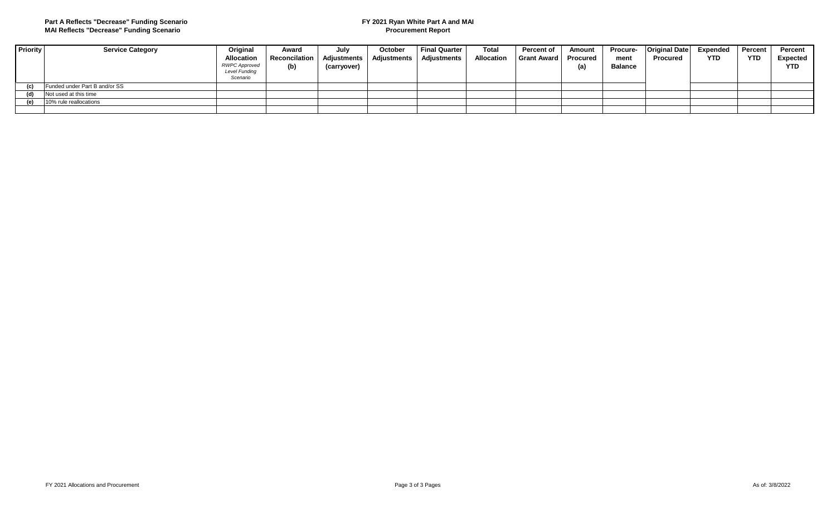#### **Part A Reflects "Decrease" Funding Scenario MAI Reflects "Decrease" Funding Scenario**

#### **FY 2021 Ryan White Part A and MAI Procurement Report**

| <b>Priority</b> | <b>Service Category</b>       | Original                                                               | Award                | July                              | October            | Final Quarter | <b>Total</b>      | Percent of      | Amount          | <b>Procure-</b>        | <b>Original Date</b> | Expended | <b>Percent</b> | <b>Percent</b>                |
|-----------------|-------------------------------|------------------------------------------------------------------------|----------------------|-----------------------------------|--------------------|---------------|-------------------|-----------------|-----------------|------------------------|----------------------|----------|----------------|-------------------------------|
|                 |                               | <b>Allocation</b><br><b>RWPC Approved</b><br>Level Funding<br>Scenario | Reconcilation<br>(b) | <b>Adjustments</b><br>(carryover) | <b>Adjustments</b> | Adjustments   | <b>Allocation</b> | ∣ Grant Award I | Procured<br>(a) | ment<br><b>Balance</b> | <b>Procured</b>      | YTD      | <b>YTD</b>     | <b>Expected</b><br><b>YTD</b> |
| (c)             | Funded under Part B and/or SS |                                                                        |                      |                                   |                    |               |                   |                 |                 |                        |                      |          |                |                               |
| (d)             | Not used at this time         |                                                                        |                      |                                   |                    |               |                   |                 |                 |                        |                      |          |                |                               |
| (e)             | 10% rule reallocations        |                                                                        |                      |                                   |                    |               |                   |                 |                 |                        |                      |          |                |                               |
|                 |                               |                                                                        |                      |                                   |                    |               |                   |                 |                 |                        |                      |          |                |                               |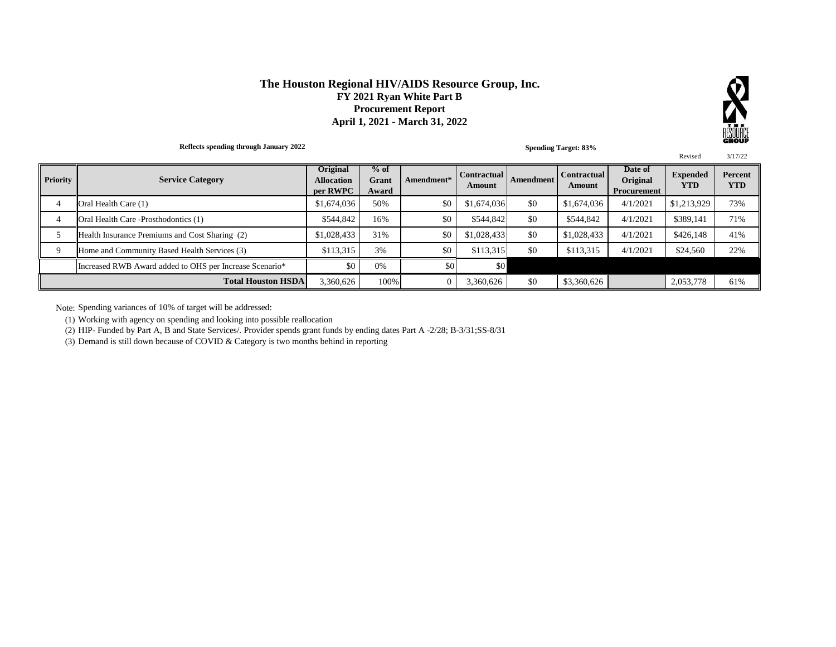#### **The Houston Regional HIV/AIDS Resource Group, Inc. FY 2021 Ryan White Part B Procurement Report April 1, 2021 - March 31, 2022**



**Reflects spending through January 2022**  Revised 3/17/22 4 Oral Health Care (1) \$1,674,036 \$0 \$1,674,036 \$0 \$1,674,036 \$0 \$1,674,036 \$0 \$1,674,036 \$0 \$1,574,036 4/1/2021 4 Oral Health Care -Prosthodontics (1) \$544,842 16% \$0 \$544,842 \$0 \$544,842 4/1/2021 \$389,141 71% 5 Health Insurance Premiums and Cost Sharing (2) \$1,028,433 31% \$0 \$1,028,433 \$0 \$1,028,433 4/1/2021 \$426,148 41% 9 Home and Community Based Health Services (3) \$113,315 3% \$0 \$113,315 \$0 \$113,315 4/1/2021 \$24,560 22% Increased RWB Award added to OHS per Increase Scenario\* \$0 0% \$0 \$0 \$0 4/1/2021 \$0 0% 3,360,626 100% 0 3,360,626 \$0 \$3,360,626 2,053,778 61% **Amendment Contractual Amount Date of Original Procurement Expended YTD Percent YTD Total Houston HSDA Priority Service Category Original Allocation per RWPC % of Grant Award Amendment\* Contractual Amount Spending Target: 83%**

Note: Spending variances of 10% of target will be addressed:

(1) Working with agency on spending and looking into possible reallocation

(2) HIP- Funded by Part A, B and State Services/. Provider spends grant funds by ending dates Part A -2/28; B-3/31;SS-8/31

(3) Demand is still down because of COVID & Category is two months behind in reporting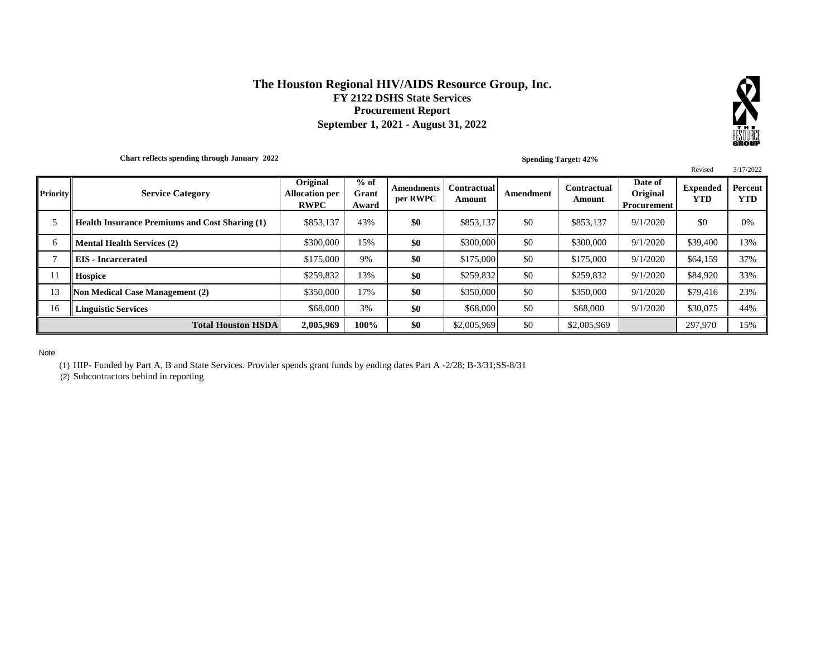#### **The Houston Regional HIV/AIDS Resource Group, Inc. FY 2122 DSHS State Services Procurement Report September 1, 2021 - August 31, 2022**



**Chart reflects spending through January 2022**

**Spending Target: 42%**

|                 |                                                       |                                                  |                          |                        |                              |           |                       |                                    | Revised                       | 3/17/2022             |
|-----------------|-------------------------------------------------------|--------------------------------------------------|--------------------------|------------------------|------------------------------|-----------|-----------------------|------------------------------------|-------------------------------|-----------------------|
| <b>Priority</b> | <b>Service Category</b>                               | Original<br><b>Allocation per</b><br><b>RWPC</b> | $%$ of<br>Grant<br>Award | Amendments<br>per RWPC | <b>Contractual</b><br>Amount | Amendment | Contractual<br>Amount | Date of<br>Original<br>Procurement | <b>Expended</b><br><b>YTD</b> | Percent<br><b>YTD</b> |
|                 | <b>Health Insurance Premiums and Cost Sharing (1)</b> | \$853,137                                        | 43%                      | \$0                    | \$853,137                    | \$0       | \$853.137             | 9/1/2020                           | \$0                           | 0%                    |
| 6               | <b>Mental Health Services (2)</b>                     | \$300,000                                        | 15%                      | \$0                    | \$300,000                    | \$0       | \$300,000             | 9/1/2020                           | \$39,400                      | 13%                   |
|                 | <b>EIS</b> - Incarcerated                             | \$175,000                                        | 9%                       | \$0                    | \$175,000                    | \$0       | \$175,000             | 9/1/2020                           | \$64,159                      | 37%                   |
| 11              | <b>Hospice</b>                                        | \$259,832                                        | 13%                      | \$0                    | \$259.832                    | \$0       | \$259.832             | 9/1/2020                           | \$84,920                      | 33%                   |
| 13              | <b>Non Medical Case Management (2)</b>                | \$350,000                                        | 17%                      | \$0                    | \$350,000                    | \$0       | \$350,000             | 9/1/2020                           | \$79,416                      | 23%                   |
| 16              | <b>Linguistic Services</b>                            | \$68,000                                         | 3%                       | \$0                    | \$68,000                     | \$0       | \$68,000              | 9/1/2020                           | \$30,075                      | 44%                   |
|                 | <b>Total Houston HSDA</b>                             | 2,005,969                                        | 100%                     | \$0                    | \$2,005,969                  | \$0       | \$2,005,969           |                                    | 297,970                       | 15%                   |

Note

(1) HIP- Funded by Part A, B and State Services. Provider spends grant funds by ending dates Part A -2/28; B-3/31;SS-8/31

(2) Subcontractors behind in reporting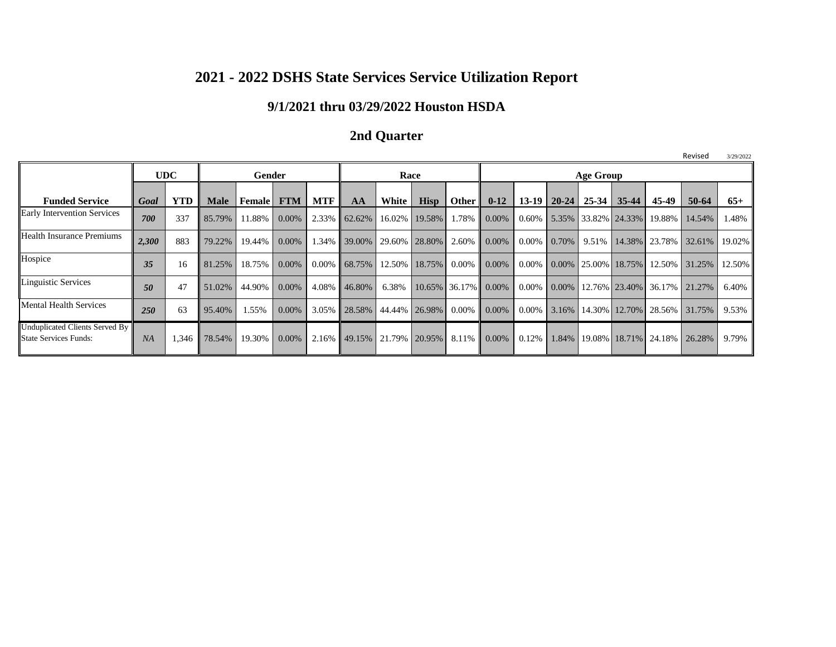## **2021 - 2022 DSHS State Services Service Utilization Report**

## **9/1/2021 thru 03/29/2022 Houston HSDA**

## **2nd Quarter**

|                                                                |       |            |             |               |            |            |                 |                            |               |                        |          |       |                 |           |                                    |          | .             | ---------- |
|----------------------------------------------------------------|-------|------------|-------------|---------------|------------|------------|-----------------|----------------------------|---------------|------------------------|----------|-------|-----------------|-----------|------------------------------------|----------|---------------|------------|
|                                                                |       | <b>UDC</b> |             | Gender        |            |            |                 | Race                       |               |                        |          |       |                 | Age Group |                                    |          |               |            |
| <b>Funded Service</b>                                          | Goal  | <b>YTD</b> | <b>Male</b> | <b>Female</b> | <b>FTM</b> | <b>MTF</b> | AA              | White                      | <b>Hisp</b>   | Other II               | $0 - 12$ |       | $13-19$   20-24 | $25 - 34$ | $35 - 44$                          | 45-49    | 50-64         | $65+$      |
| <b>Early Intervention Services</b>                             | 700   | 337        | 85.79%      | 1.88%         | $0.00\%$   |            | 2.33% 62.62%    |                            | 16.02% 19.58% | $1.78\%$               | 0.00%    |       |                 |           | $0.60\%$ 5.35% 33.82% 24.33%       | 19.88%   | 14.54%        | 1.48%      |
| <b>Health Insurance Premiums</b>                               | 2.300 | 883        | 79.22%      | 19.44%        | $0.00\%$   |            |                 | 1.34% 39.00% 29.60% 28.80% |               | $2.60\%$ 0.00%         |          |       | $0.00\%$ 0.70%  |           | 9.51% 14.38%                       | 23.78%   | 32.61% 19.02% |            |
| Hospice                                                        | 35    | 16         | 81.25%      | 18.75%        | $0.00\%$   |            | $0.00\%$ 68.75% |                            | 12.50% 18.75% | $0.00\%$               | 0.00%    |       |                 |           | $0.00\%$   0.00%   25.00%   18.75% | 12.50%   | 31.25%        | 12.50%     |
| Linguistic Services                                            | 50    | 47         | 51.02%      | 44.90%        | $0.00\%$   | $4.08\%$   | 46.80%          | 6.38%                      |               | $10.65\%$ 36.17% 0.00% |          |       |                 |           | $0.00\%$   0.00%   12.76%   23.40% | 36.17%   | 21.27%        | 6.40%      |
| <b>Mental Health Services</b>                                  | 250   | 63         | 95.40%      | 1.55%         | $0.00\%$   |            | 3.05% 28.58%    |                            | 44.44% 26.98% | $0.00\%$ 0.00%         |          | 0.00% |                 |           | 3.16% 14.30% 12.70%                | 28.56% I | 31.75%        | 9.53%      |
| Unduplicated Clients Served By<br><b>State Services Funds:</b> | NA    | 346,       | 78.54%      | 19.30%        | $0.00\%$   | $2.16\%$   |                 | 49.15% 21.79% 20.95%       |               | $8.11\%$               | 0.00%    | 0.12% |                 |           | 1.84%   19.08%   18.71%            | 24.18%   | 26.28%        | 9.79%      |

Revised 3/29/2022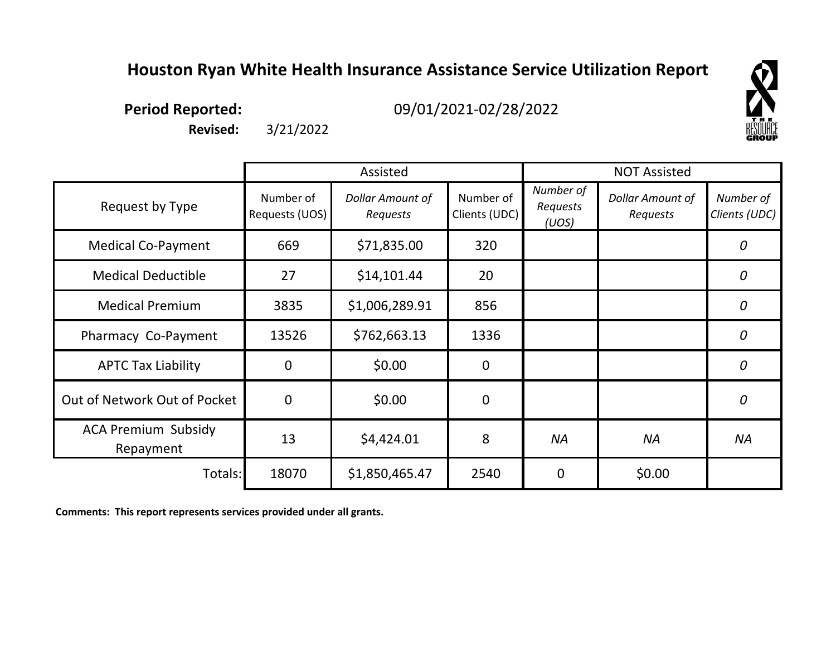## **Houston Ryan White Health Insurance Assistance Service Utilization Report**



**Period Reported:**

09/01/2021-02/28/2022

**Revised:** 3/21/2022

|                                         |                             | Assisted                            |                            |                                | <b>NOT Assisted</b>          |                            |
|-----------------------------------------|-----------------------------|-------------------------------------|----------------------------|--------------------------------|------------------------------|----------------------------|
| Request by Type                         | Number of<br>Requests (UOS) | <b>Dollar Amount of</b><br>Requests | Number of<br>Clients (UDC) | Number of<br>Requests<br>(UOS) | Dollar Amount of<br>Requests | Number of<br>Clients (UDC) |
| <b>Medical Co-Payment</b>               | 669                         | \$71,835.00                         | 320                        |                                |                              | 0                          |
| <b>Medical Deductible</b>               | 27                          | \$14,101.44                         | 20                         |                                |                              | 0                          |
| <b>Medical Premium</b>                  | 3835                        | \$1,006,289.91                      | 856                        |                                |                              | $\overline{0}$             |
| Pharmacy Co-Payment                     | 13526                       | \$762,663.13                        | 1336                       |                                |                              | 0                          |
| <b>APTC Tax Liability</b>               | $\Omega$                    | \$0.00                              | $\mathbf 0$                |                                |                              | 0                          |
| Out of Network Out of Pocket            | $\overline{0}$              | \$0.00                              | $\mathbf 0$                |                                |                              | $\overline{0}$             |
| <b>ACA Premium Subsidy</b><br>Repayment | 13                          | \$4,424.01                          | 8                          | <b>NA</b>                      | <b>NA</b>                    | <b>NA</b>                  |
| Totals:                                 | 18070                       | \$1,850,465.47                      | 2540                       | $\mathbf 0$                    | \$0.00                       |                            |

**Comments: This report represents services provided under all grants.**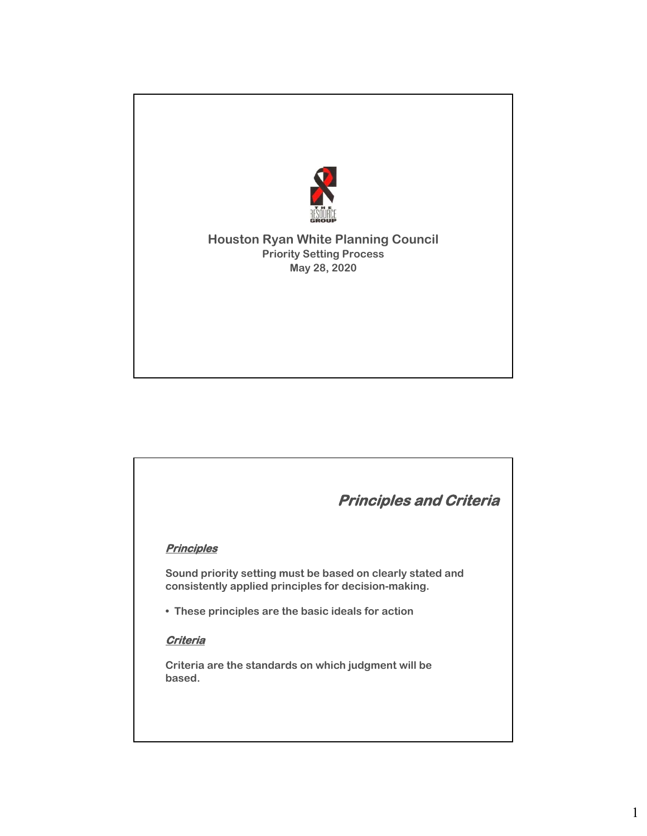

#### **Houston Ryan White Planning Council Priority Setting Process May 28, 2020**

# **Principles and Criteria Principles Sound priority setting must be based on clearly stated and consistently applied principles for decision-making. • These principles are the basic ideals for action Criteria Criteria are the standards on which judgment will be based.**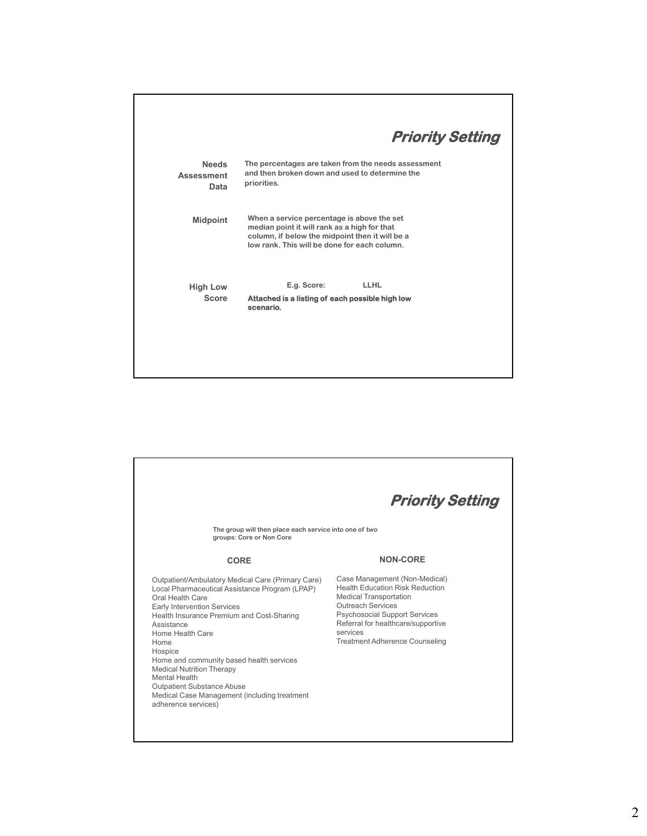| The percentages are taken from the needs assessment<br>and then broken down and used to determine the<br>priorities.                                                                          |                         |
|-----------------------------------------------------------------------------------------------------------------------------------------------------------------------------------------------|-------------------------|
| When a service percentage is above the set<br>median point it will rank as a high for that<br>column, if below the midpoint then it will be a<br>low rank. This will be done for each column. |                         |
| E.g. Score:<br><b>LLHL</b>                                                                                                                                                                    |                         |
| Attached is a listing of each possible high low<br>scenario.                                                                                                                                  |                         |
|                                                                                                                                                                                               | <b>Priority Setting</b> |

٦

| The group will then place each service into one of two<br>groups: Core or Non Core                                                                                                                                                                                                                                                                                                                                                                                           | <b>Priority Setting</b>                                                                                                                                                                                                                                          |
|------------------------------------------------------------------------------------------------------------------------------------------------------------------------------------------------------------------------------------------------------------------------------------------------------------------------------------------------------------------------------------------------------------------------------------------------------------------------------|------------------------------------------------------------------------------------------------------------------------------------------------------------------------------------------------------------------------------------------------------------------|
| CORE                                                                                                                                                                                                                                                                                                                                                                                                                                                                         | <b>NON-CORE</b>                                                                                                                                                                                                                                                  |
| Outpatient/Ambulatory Medical Care (Primary Care)<br>Local Pharmaceutical Assistance Program (LPAP)<br>Oral Health Care<br><b>Early Intervention Services</b><br>Health Insurance Premium and Cost-Sharing<br>Assistance<br>Home Health Care<br>Home<br>Hospice<br>Home and community based health services<br><b>Medical Nutrition Therapy</b><br>Mental Health<br><b>Outpatient Substance Abuse</b><br>Medical Case Management (including treatment<br>adherence services) | Case Management (Non-Medical)<br><b>Health Education Risk Reduction</b><br><b>Medical Transportation</b><br>Outreach Services<br><b>Psychosocial Support Services</b><br>Referral for healthcare/supportive<br>services<br><b>Treatment Adherence Counseling</b> |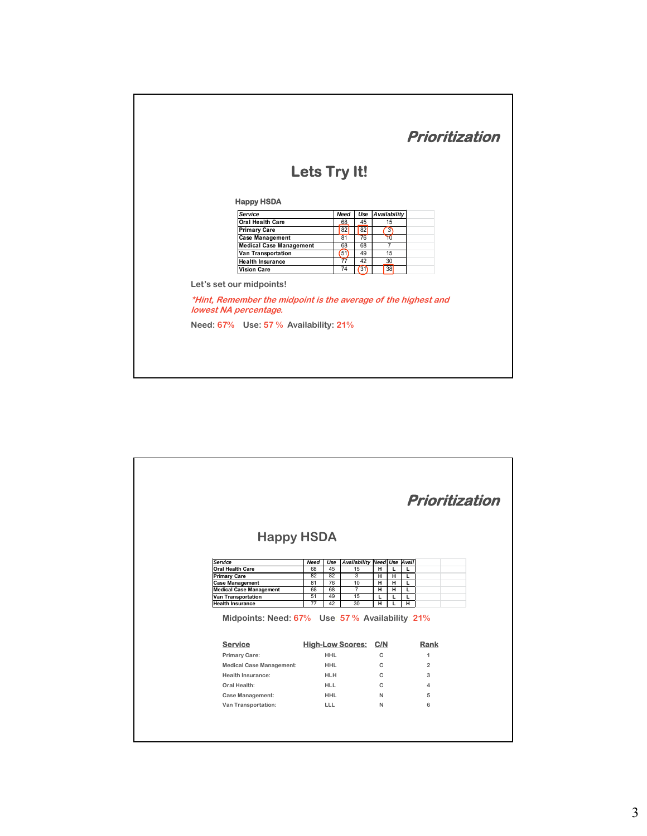|                                                                                                                     | Lets Try It!                         |             |      |                     |  |
|---------------------------------------------------------------------------------------------------------------------|--------------------------------------|-------------|------|---------------------|--|
|                                                                                                                     |                                      |             |      |                     |  |
| <b>Happy HSDA</b><br>Service                                                                                        |                                      | <b>Need</b> | Use  | <b>Availability</b> |  |
|                                                                                                                     | Oral Health Care                     | 68          | 45   | 15                  |  |
| <b>Primary Care</b>                                                                                                 |                                      | 82          | 82   | $\overline{3}$      |  |
|                                                                                                                     | <b>Case Management</b>               | 81          | 76   | ᠊ᢅᢅ                 |  |
|                                                                                                                     | <b>Medical Case Management</b>       | 68          | 68   | 7                   |  |
|                                                                                                                     | Van Transportation                   | (51)        | 49   | 15                  |  |
|                                                                                                                     | <b>Health Insurance</b>              | 77          | 42   | 30                  |  |
| <b>Vision Care</b>                                                                                                  |                                      | 74          | (31) | 38                  |  |
| Let's set our midpoints!<br>*Hint, Remember the midpoint is the average of the highest and<br>lowest NA percentage. |                                      |             |      |                     |  |
|                                                                                                                     | Need: 67% Use: 57% Availability: 21% |             |      |                     |  |

|                                                                  |             |            |                             |        |        |        | Prioritization |
|------------------------------------------------------------------|-------------|------------|-----------------------------|--------|--------|--------|----------------|
|                                                                  |             |            |                             |        |        |        |                |
|                                                                  |             |            |                             |        |        |        |                |
| <b>Happy HSDA</b>                                                |             |            |                             |        |        |        |                |
| Service                                                          | <b>Need</b> | Use        | Availability Need Use Avail |        |        |        |                |
| <b>Oral Health Care</b>                                          | 68          | 45         | 15                          | н      | L      | L      |                |
| <b>Primary Care</b>                                              | 82          | 82         | 3                           | Ή      | Ή      | L      |                |
| <b>Case Management</b><br><b>Medical Case Management</b>         | 81<br>68    | 76<br>68   | 10<br>$\overline{7}$        | н      | н      | L      |                |
|                                                                  |             |            |                             |        |        |        |                |
|                                                                  |             |            |                             | н      | н      | L      |                |
| <b>Van Transportation</b><br><b>Health Insurance</b>             | 51<br>77    | 49<br>42   | 15<br>30                    | г<br>н | L<br>L | г<br>н |                |
| Midpoints: Need: 67% Use 57% Availability: 21%<br><b>Service</b> |             |            | <b>High-Low Scores:</b>     | C/N    |        |        | Rank           |
| <b>Primary Care:</b>                                             |             | <b>HHL</b> |                             | C      |        |        | 1              |
| <b>Medical Case Management:</b>                                  |             | <b>HHL</b> |                             | C      |        |        | $\overline{2}$ |
| Health Insurance:                                                |             | <b>HLH</b> |                             | C      |        |        | 3              |
| Oral Health:                                                     |             | <b>HLL</b> |                             | C      |        |        | 4              |
| <b>Case Management:</b>                                          |             | <b>HHL</b> |                             | N      |        |        | 5              |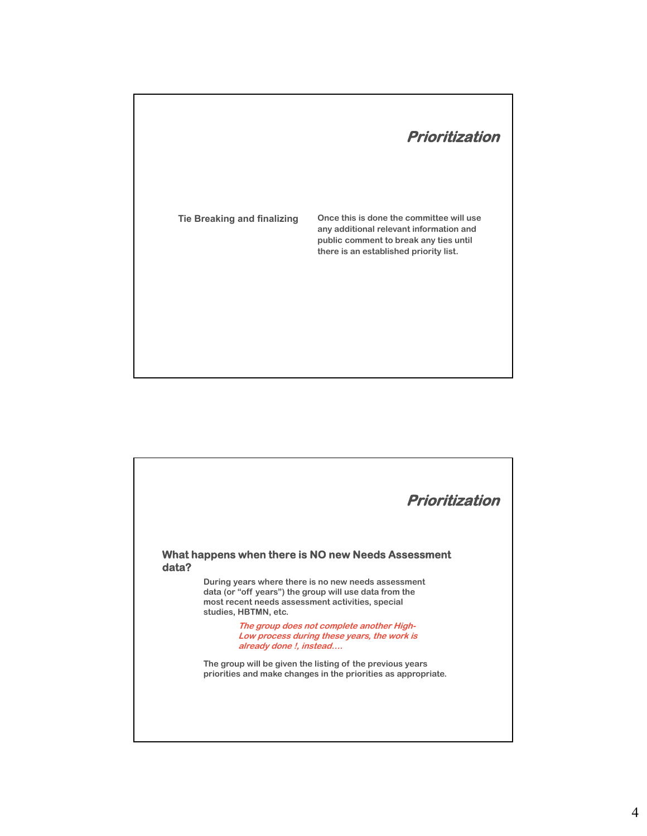

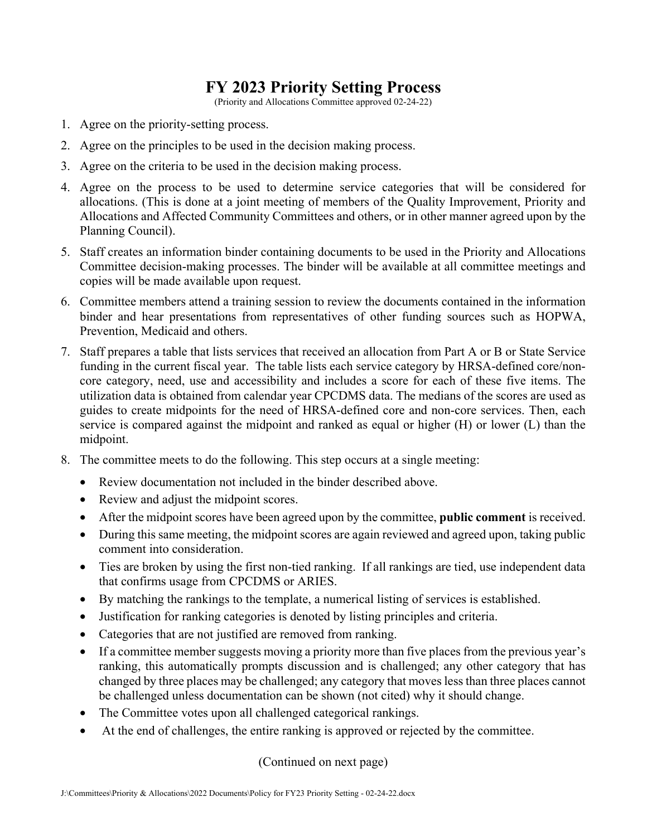## **FY 2023 Priority Setting Process**

(Priority and Allocations Committee approved 02-24-22)

- 1. Agree on the priority-setting process.
- 2. Agree on the principles to be used in the decision making process.
- 3. Agree on the criteria to be used in the decision making process.
- 4. Agree on the process to be used to determine service categories that will be considered for allocations. (This is done at a joint meeting of members of the Quality Improvement, Priority and Allocations and Affected Community Committees and others, or in other manner agreed upon by the Planning Council).
- 5. Staff creates an information binder containing documents to be used in the Priority and Allocations Committee decision-making processes. The binder will be available at all committee meetings and copies will be made available upon request.
- 6. Committee members attend a training session to review the documents contained in the information binder and hear presentations from representatives of other funding sources such as HOPWA, Prevention, Medicaid and others.
- 7. Staff prepares a table that lists services that received an allocation from Part A or B or State Service funding in the current fiscal year. The table lists each service category by HRSA-defined core/noncore category, need, use and accessibility and includes a score for each of these five items. The utilization data is obtained from calendar year CPCDMS data. The medians of the scores are used as guides to create midpoints for the need of HRSA-defined core and non-core services. Then, each service is compared against the midpoint and ranked as equal or higher (H) or lower (L) than the midpoint.
- 8. The committee meets to do the following. This step occurs at a single meeting:
	- Review documentation not included in the binder described above.
	- Review and adjust the midpoint scores.
	- After the midpoint scores have been agreed upon by the committee, **public comment** is received.
	- During this same meeting, the midpoint scores are again reviewed and agreed upon, taking public comment into consideration.
	- Ties are broken by using the first non-tied ranking. If all rankings are tied, use independent data that confirms usage from CPCDMS or ARIES.
	- By matching the rankings to the template, a numerical listing of services is established.
	- Justification for ranking categories is denoted by listing principles and criteria.
	- Categories that are not justified are removed from ranking.
	- If a committee member suggests moving a priority more than five places from the previous year's ranking, this automatically prompts discussion and is challenged; any other category that has changed by three places may be challenged; any category that moves less than three places cannot be challenged unless documentation can be shown (not cited) why it should change.
	- The Committee votes upon all challenged categorical rankings.
	- At the end of challenges, the entire ranking is approved or rejected by the committee.

(Continued on next page)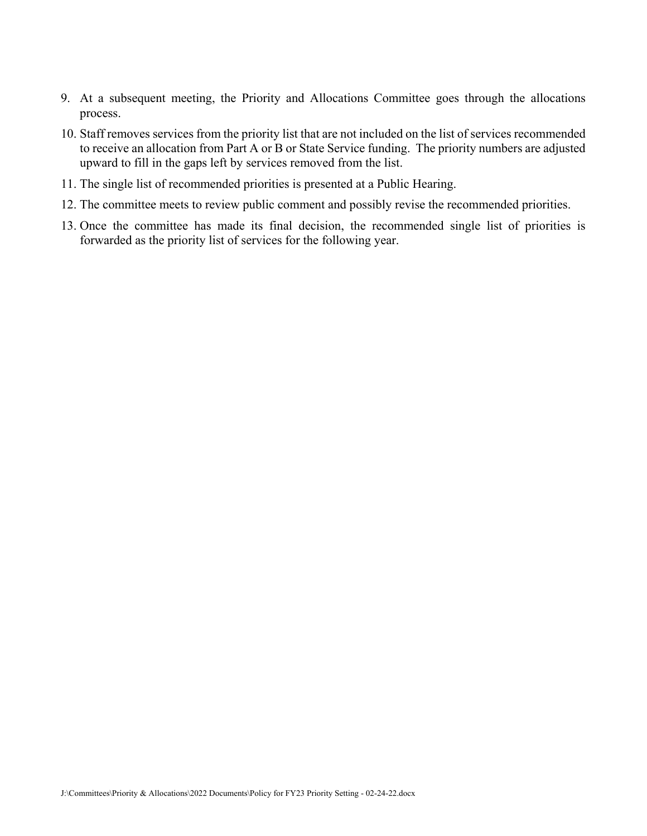- 9. At a subsequent meeting, the Priority and Allocations Committee goes through the allocations process.
- 10. Staff removes services from the priority list that are not included on the list of services recommended to receive an allocation from Part A or B or State Service funding. The priority numbers are adjusted upward to fill in the gaps left by services removed from the list.
- 11. The single list of recommended priorities is presented at a Public Hearing.
- 12. The committee meets to review public comment and possibly revise the recommended priorities.
- 13. Once the committee has made its final decision, the recommended single list of priorities is forwarded as the priority list of services for the following year.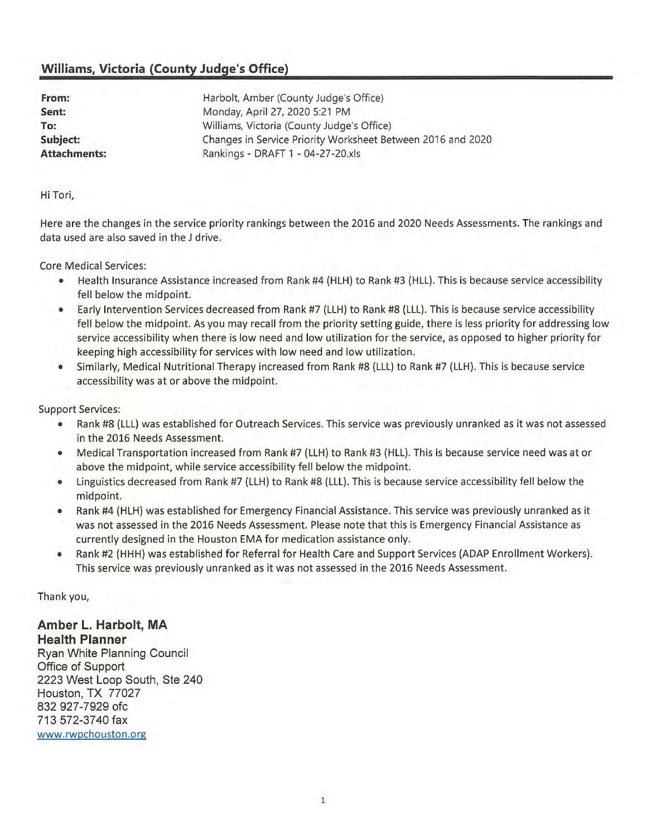## **Williams, Victoria (County Judge's Office)**

| From:               | Harbolt, Amber (County Judge's Office)                      |
|---------------------|-------------------------------------------------------------|
| Sent:               | Monday, April 27, 2020 5:21 PM                              |
| To:                 | Williams, Victoria (County Judge's Office)                  |
| Subject:            | Changes in Service Priority Worksheet Between 2016 and 2020 |
| <b>Attachments:</b> | Rankings - DRAFT 1 - 04-27-20.xls                           |

Hi Tori,

Here are the changes in the service priority rankings between the 2016 and 2020 Needs Assessments. The rankings and data used are also saved in the J drive.

**Core Medical Services:** 

- Health Insurance Assistance increased from Rank #4 (HLH) to Rank #3 (HLL). This is because service accessibility fell below the midpoint.
- Early Intervention Services decreased from Rank #7 (LLH) to Rank #8 (LLL). This is because service accessibility fell below the midpoint. As you may recall from the priority setting guide, there is less priority for addressing low service accessibility when there is low need and low utilization for the service, as opposed to higher priority for keeping high accessibility for services with low need and low utilization.
- Similarly, Medical Nutritional Therapy increased from Rank #8 (LLL) to Rank #7 (LLH). This is because service accessibility was at or above the midpoint.

**Support Services:** 

- Rank #8 (LLL) was established for Outreach Services. This service was previously unranked as it was not assessed  $\bullet$ in the 2016 Needs Assessment.
- Medical Transportation increased from Rank #7 (LLH) to Rank #3 (HLL). This is because service need was at or above the midpoint, while service accessibility fell below the midpoint.
- Linguistics decreased from Rank #7 (LLH) to Rank #8 (LLL). This is because service accessibility fell below the midpoint.
- Rank #4 (HLH) was established for Emergency Financial Assistance. This service was previously unranked as it was not assessed in the 2016 Needs Assessment. Please note that this is Emergency Financial Assistance as currently designed in the Houston EMA for medication assistance only.
- Rank #2 (HHH) was established for Referral for Health Care and Support Services (ADAP Enrollment Workers). This service was previously unranked as it was not assessed in the 2016 Needs Assessment.

Thank you,

Amber L. Harbolt, MA **Health Planner** Ryan White Planning Council Office of Support 2223 West Loop South, Ste 240 Houston, TX 77027 832 927-7929 ofc 713 572-3740 fax www.rwpchouston.org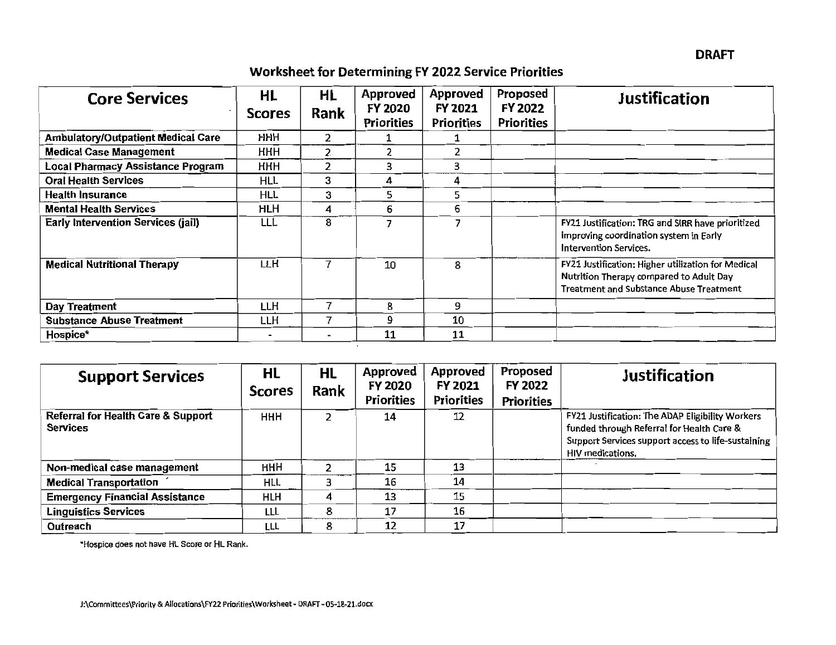**Worksheet for Determining FY 2022 Service Priorities** 

| <b>Core Services</b>                      | HL<br><b>Scores</b>      | HL<br>Rank     | Approved<br>FY 2020<br><b>Priorities</b> | Approved<br>FY 2021<br><b>Priorities</b> | Proposed<br>FY 2022<br><b>Priorities</b> | <b>Justification</b>                                                                                                                            |
|-------------------------------------------|--------------------------|----------------|------------------------------------------|------------------------------------------|------------------------------------------|-------------------------------------------------------------------------------------------------------------------------------------------------|
| <b>Ambulatory/Outpatient Medical Care</b> | HHH.                     |                |                                          |                                          |                                          |                                                                                                                                                 |
| <b>Medical Case Management</b>            | <b>HHH</b>               | $\overline{2}$ |                                          | 2                                        |                                          |                                                                                                                                                 |
| <b>Local Pharmacy Assistance Program</b>  | <b>HHH</b>               | $\overline{2}$ | 3                                        | 3                                        |                                          |                                                                                                                                                 |
| <b>Oral Health Services</b>               | HLL                      | 3              | 4                                        | 4                                        |                                          |                                                                                                                                                 |
| <b>Health Insurance</b>                   | <b>HLL</b>               | 3              | 5                                        | 5                                        |                                          |                                                                                                                                                 |
| <b>Mental Health Services</b>             | HLH                      | 4              | 6                                        | 6                                        |                                          |                                                                                                                                                 |
| <b>Early Intervention Services (jail)</b> | LLL                      | 8              | ヮ                                        | 7                                        |                                          | FY21 Justification: TRG and SIRR have prioritized<br>improving coordination system in Early<br>Intervention Services.                           |
| <b>Medical Nutritional Therapy</b>        | LLH                      | 7              | 10                                       | 8                                        |                                          | FY21 Justification: Higher utilization for Medical<br>Nutrition Therapy compared to Adult Day<br><b>Treatment and Substance Abuse Treatment</b> |
| Day Treatment                             | LLH                      | 7              | 8                                        | 9                                        |                                          |                                                                                                                                                 |
| <b>Substance Abuse Treatment</b>          | LLH                      | 7              | و                                        | 10                                       |                                          |                                                                                                                                                 |
| Hospice*                                  | $\overline{\phantom{0}}$ | -              | 11                                       | 11                                       |                                          |                                                                                                                                                 |

| <b>Support Services</b>                                          | HL<br><b>Scores</b> | <b>HL</b><br>Rank | <b>Approved</b><br>FY 2020<br><b>Priorities</b> | <b>Approved</b><br>FY 2021<br><b>Priorities</b> | Proposed<br>FY 2022<br><b>Priorities</b> | <b>Justification</b>                                                                                                                                                    |
|------------------------------------------------------------------|---------------------|-------------------|-------------------------------------------------|-------------------------------------------------|------------------------------------------|-------------------------------------------------------------------------------------------------------------------------------------------------------------------------|
| <b>Referral for Health Care &amp; Support</b><br><b>Services</b> | HHH                 |                   | 14                                              | 12                                              |                                          | FY21 Justification: The ADAP Eligibility Workers<br>funded through Referral for Health Care &<br>Support Services support access to life-sustaining<br>HIV medications. |
| Non-medical case management                                      | HHH                 |                   | 15                                              | 13                                              |                                          |                                                                                                                                                                         |
| <b>Medical Transportation</b>                                    | HLL                 |                   | 16                                              | 14                                              |                                          |                                                                                                                                                                         |
| <b>Emergency Financial Assistance</b>                            | HLH                 |                   | 13                                              | 15                                              |                                          |                                                                                                                                                                         |
| Linguistics Services                                             | LLL                 | 8                 | 17                                              | 16                                              |                                          |                                                                                                                                                                         |
| Outreach                                                         | LLL                 | 8                 | 12                                              | 17                                              |                                          |                                                                                                                                                                         |

"Hospice does not have HL Score or HL Rank.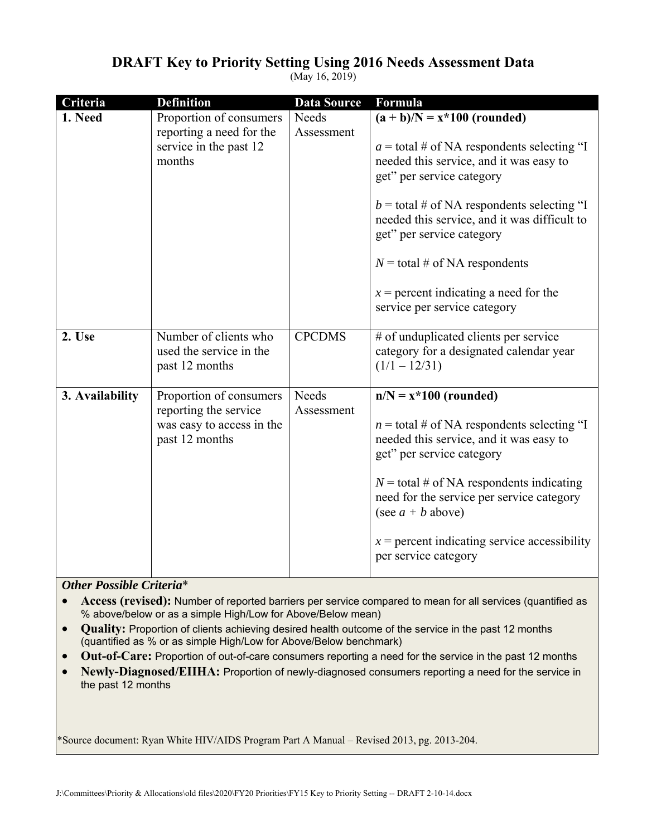| Criteria        | <b>Definition</b>                                                                               | <b>Data Source</b>  | Formula                                                                                                                                                                                                                                                                                                                                                                                            |
|-----------------|-------------------------------------------------------------------------------------------------|---------------------|----------------------------------------------------------------------------------------------------------------------------------------------------------------------------------------------------------------------------------------------------------------------------------------------------------------------------------------------------------------------------------------------------|
| 1. Need         | Proportion of consumers<br>reporting a need for the<br>service in the past 12<br>months         | Needs<br>Assessment | $(a + b)/N = x * 100$ (rounded)<br>$a =$ total # of NA respondents selecting "I<br>needed this service, and it was easy to<br>get" per service category<br>$b =$ total # of NA respondents selecting "I<br>needed this service, and it was difficult to<br>get" per service category<br>$N =$ total # of NA respondents<br>$x =$ percent indicating a need for the<br>service per service category |
| 2. Use          | Number of clients who<br>used the service in the<br>past 12 months                              | <b>CPCDMS</b>       | # of unduplicated clients per service<br>category for a designated calendar year<br>$(1/1 - 12/31)$                                                                                                                                                                                                                                                                                                |
| 3. Availability | Proportion of consumers<br>reporting the service<br>was easy to access in the<br>past 12 months | Needs<br>Assessment | $n/N = x*100$ (rounded)<br>$n =$ total # of NA respondents selecting "I<br>needed this service, and it was easy to<br>get" per service category<br>$N =$ total # of NA respondents indicating<br>need for the service per service category<br>(see $a + b$ above)<br>$x =$ percent indicating service accessibility<br>per service category                                                        |

## **DRAFT Key to Priority Setting Using 2016 Needs Assessment Data**

(May 16, 2019)

*Other Possible Criteria*\*

- **Access (revised):** Number of reported barriers per service compared to mean for all services (quantified as % above/below or as a simple High/Low for Above/Below mean)
- **Quality:** Proportion of clients achieving desired health outcome of the service in the past 12 months (quantified as % or as simple High/Low for Above/Below benchmark)
- **Out-of-Care:** Proportion of out-of-care consumers reporting a need for the service in the past 12 months
- **Newly-Diagnosed/EIIHA:** Proportion of newly-diagnosed consumers reporting a need for the service in the past 12 months

\*Source document: Ryan White HIV/AIDS Program Part A Manual – Revised 2013, pg. 2013-204.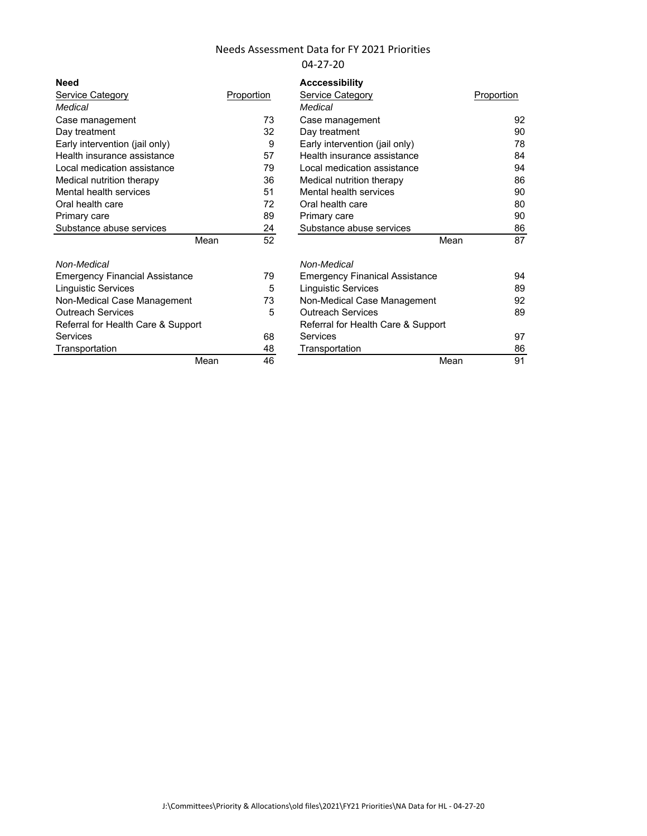#### Needs Assessment Data for FY 2021 Priorities 04-27-20

| <b>Need</b>                    |      |            | <b>Acccessibility</b> |
|--------------------------------|------|------------|-----------------------|
| Service Category               |      | Proportion | Service Catego        |
| Medical                        |      |            | Medical               |
| Case management                |      | 73         | Case managen          |
| Day treatment                  |      | 32         | Day treatment         |
| Early intervention (jail only) |      | 9          | Early interventi      |
| Health insurance assistance    |      | 57         | Health insurano       |
| Local medication assistance    |      | 79         | Local medicatio       |
| Medical nutrition therapy      |      | 36         | Medical nutritio      |
| Mental health services         |      | 51         | Mental health s       |
| Oral health care               |      | 72         | Oral health car       |
| Primary care                   |      | 89         | Primary care          |
| Substance abuse services       |      | 24         | Substance abu         |
|                                | Mean | 52         |                       |
| Non-Medical                    |      |            | Non-Medical           |

| Need                                  |            | <b>Acccessibility</b>                 |            |
|---------------------------------------|------------|---------------------------------------|------------|
| Service Category                      | Proportion | Service Category                      | Proportion |
| Medical                               |            | Medical                               |            |
| Case management                       | 73         | Case management                       | 92         |
| Day treatment                         | 32         | Day treatment                         | 90         |
| Early intervention (jail only)        | 9          | Early intervention (jail only)        | 78         |
| Health insurance assistance           | 57         | Health insurance assistance           | 84         |
| Local medication assistance           | 79         | Local medication assistance           | 94         |
| Medical nutrition therapy             | 36         | Medical nutrition therapy             | 86         |
| Mental health services                | 51         | Mental health services                | 90         |
| Oral health care                      | 72         | Oral health care                      | 80         |
| Primary care                          | 89         | Primary care                          | 90         |
| Substance abuse services              | 24         | Substance abuse services              | 86         |
| Mean                                  | 52         | Mean                                  | 87         |
| Non-Medical                           |            | Non-Medical                           |            |
| <b>Emergency Financial Assistance</b> | 79         | <b>Emergency Finanical Assistance</b> | 94         |
| Linguistic Services                   | 5          | <b>Linguistic Services</b>            | 89         |
| Non-Medical Case Management           | 73         | Non-Medical Case Management           | 92         |
| <b>Outreach Services</b>              | 5          | <b>Outreach Services</b>              | 89         |
| Referral for Health Care & Support    |            | Referral for Health Care & Support    |            |
| Services                              | 68         | Services                              | 97         |
| Transportation                        | 48         | Transportation                        | 86         |
| Mean                                  | 46         | Mean                                  | 91         |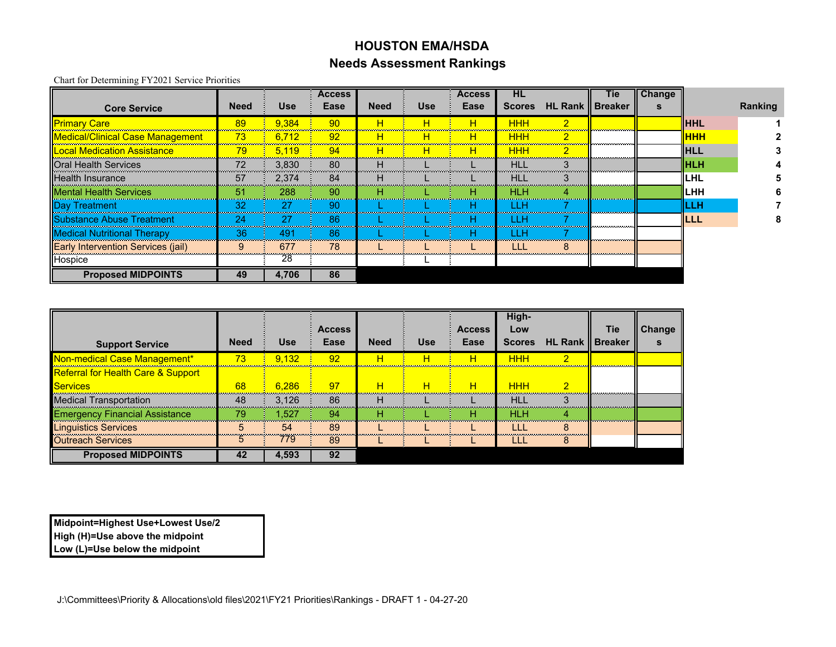## **HOUSTON EMA/HSDANeeds Assessment Rankings**

Chart for Determining FY2021 Service Priorities

|                                           |             |            | <b>Access</b> |             |            | <b>Access</b> | HL            |                           | <b>Tie</b> | <b>Change</b> |              |         |
|-------------------------------------------|-------------|------------|---------------|-------------|------------|---------------|---------------|---------------------------|------------|---------------|--------------|---------|
| <b>Core Service</b>                       | <b>Need</b> | <b>Use</b> | Ease          | <b>Need</b> | <b>Use</b> | Ease          | <b>Scores</b> | <b>HL Rank    Breaker</b> |            |               |              | Ranking |
| <b>Primary Care</b>                       | 89          | 9.384      | 90            | н           | н          |               | ннн           | $\overline{2}$            |            |               | <b>HHL</b>   |         |
| <b>Medical/Clinical Case Management</b>   | 73          | 6.712      | 92            | н           | н          | н             | <b>HHH</b>    | $\overline{2}$            |            |               | <b>I</b> HHH |         |
| <u>Local Medication Assistance</u>        | 79          | 5.119      | 94            | н           | н          | н             | <b>HHH</b>    | $\overline{2}$            |            |               | IIHLL        |         |
| <b>Oral Health Services</b>               | 72          | 3.830      | 80            | н           |            |               | <b>HLL</b>    |                           |            |               | <b>IIHLH</b> |         |
| <b>Health Insurance</b>                   | 57          | 2.374      | 84            | н           |            |               | HLL           |                           |            |               | ILHL         |         |
| <b>IMental Health Services</b>            | 51          | 288        | 90            | н           |            | н             | <b>HLH</b>    | 4                         |            |               | <b>ILHH</b>  |         |
| Day Treatment                             | 32          | 27         | -90           |             |            |               | LLH           |                           |            |               | LLH          |         |
| <b>IlSubstance Abuse Treatment</b>        | 24          | 27         | 86            |             |            | н             | 1 I H         |                           |            |               | ILLL         |         |
| <b>Medical Nutritional Therapy</b>        | 36          | 491        | 86            |             |            | н             | LLH           |                           |            |               |              |         |
| <b>Early Intervention Services (jail)</b> |             | 677        | 78            |             |            |               | LLL           | 8                         |            |               |              |         |
| Hospice                                   |             | 28         |               |             |            |               |               |                           |            |               |              |         |
| <b>Proposed MIDPOINTS</b>                 | 49          | 4,706      | 86            |             |            |               |               |                           |            |               |              |         |

|                                               |             |            | <b>Access</b> |             |            | <b>Access</b> | High-<br>Low  |                           | <b>Tie</b> | Change |
|-----------------------------------------------|-------------|------------|---------------|-------------|------------|---------------|---------------|---------------------------|------------|--------|
| <b>Support Service</b>                        | <b>Need</b> | <b>Use</b> | Ease          | <b>Need</b> | <b>Use</b> | Ease          | <b>Scores</b> | <b>HL Rank    Breaker</b> |            |        |
| Non-medical Case Management*                  | 73          | 9.132      | 92            | н           | н          | н             | <b>HHH</b>    | റ                         |            |        |
| <b>Referral for Health Care &amp; Support</b> |             |            |               |             |            |               |               |                           |            |        |
| <b>Services</b>                               | 68          | 6.286      | 97            | н           | н          | н             | <b>HHH</b>    | o                         |            |        |
| <b>Medical Transportation</b>                 | 48          | 3.126      | 86            | н           |            |               | HI I          |                           |            |        |
| <b>Emergency Financial Assistance</b>         | 79          | 1.527      | 94            | н           |            | н             | HLH           |                           |            |        |
| <b>Linguistics Services</b>                   | 5           | 54         | 89            |             |            |               | LLI           |                           |            |        |
| <b>Outreach Services</b>                      | :5          | 779        | 89            |             |            |               | LLI           |                           |            |        |
| <b>Proposed MIDPOINTS</b>                     | 42          | 4,593      | 92            |             |            |               |               |                           |            |        |

**Midpoint=Highest Use+Lowest Use/2 High (H)=Use above the midpoint Low (L)=Use below the midpoint**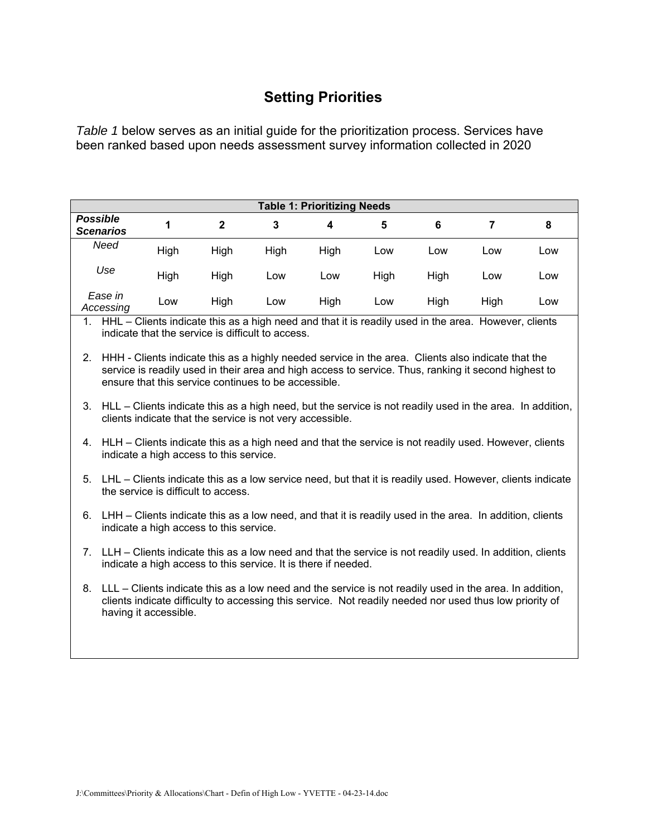## **Setting Priorities**

*Table 1* below serves as an initial guide for the prioritization process. Services have been ranked based upon needs assessment survey information collected in 2020

|                                     | <b>Table 1: Prioritizing Needs</b> |      |      |      |      |      |      |     |  |  |  |  |  |
|-------------------------------------|------------------------------------|------|------|------|------|------|------|-----|--|--|--|--|--|
| <b>Possible</b><br><b>Scenarios</b> |                                    | 2    | 3    | 4    | 5    | 6    |      | 8   |  |  |  |  |  |
| Need                                | High                               | High | High | High | Low  | Low  | Low  | Low |  |  |  |  |  |
| Use                                 | High                               | High | Low  | Low  | High | High | Low  | Low |  |  |  |  |  |
| Ease in<br>Accessing                | Low                                | High | Low  | High | Low  | High | High | Low |  |  |  |  |  |

1. HHL – Clients indicate this as a high need and that it is readily used in the area. However, clients indicate that the service is difficult to access.

- 2. HHH Clients indicate this as a highly needed service in the area. Clients also indicate that the service is readily used in their area and high access to service. Thus, ranking it second highest to ensure that this service continues to be accessible.
- 3. HLL Clients indicate this as a high need, but the service is not readily used in the area. In addition, clients indicate that the service is not very accessible.
- 4. HLH Clients indicate this as a high need and that the service is not readily used. However, clients indicate a high access to this service.
- 5. LHL Clients indicate this as a low service need, but that it is readily used. However, clients indicate the service is difficult to access.
- 6. LHH Clients indicate this as a low need, and that it is readily used in the area. In addition, clients indicate a high access to this service.
- 7. LLH Clients indicate this as a low need and that the service is not readily used. In addition, clients indicate a high access to this service. It is there if needed.
- 8. LLL Clients indicate this as a low need and the service is not readily used in the area. In addition, clients indicate difficulty to accessing this service. Not readily needed nor used thus low priority of having it accessible.